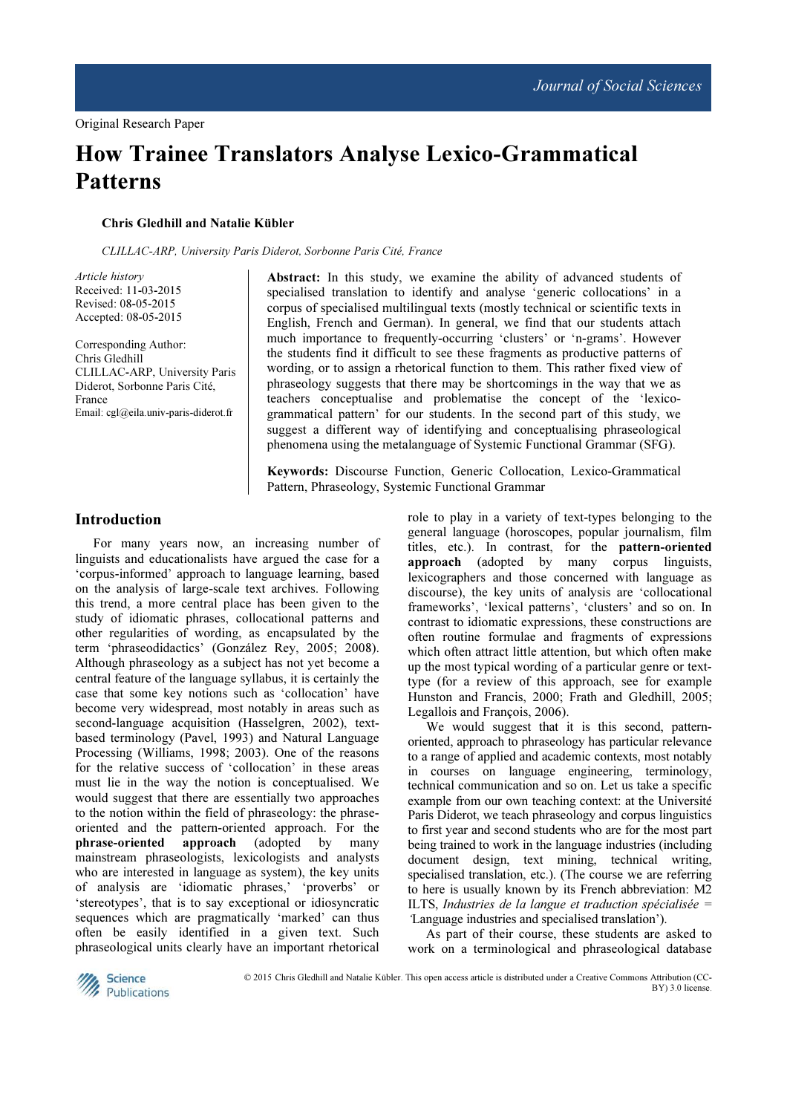# How Trainee Translators Analyse Lexico-Grammatical Patterns

## Chris Gledhill and Natalie Kübler

CLILLAC-ARP, University Paris Diderot, Sorbonne Paris Cité, France

Article history Received: 11-03-2015 Revised: 08-05-2015 Accepted: 08-05-2015

Corresponding Author: Chris Gledhill CLILLAC-ARP, University Paris Diderot, Sorbonne Paris Cité, France Email: cgl@eila.univ-paris-diderot.fr

Abstract: In this study, we examine the ability of advanced students of specialised translation to identify and analyse 'generic collocations' in a corpus of specialised multilingual texts (mostly technical or scientific texts in English, French and German). In general, we find that our students attach much importance to frequently-occurring 'clusters' or 'n-grams'. However the students find it difficult to see these fragments as productive patterns of wording, or to assign a rhetorical function to them. This rather fixed view of phraseology suggests that there may be shortcomings in the way that we as teachers conceptualise and problematise the concept of the 'lexicogrammatical pattern' for our students. In the second part of this study, we suggest a different way of identifying and conceptualising phraseological phenomena using the metalanguage of Systemic Functional Grammar (SFG).

Keywords: Discourse Function, Generic Collocation, Lexico-Grammatical Pattern, Phraseology, Systemic Functional Grammar

## Introduction

For many years now, an increasing number of linguists and educationalists have argued the case for a 'corpus-informed' approach to language learning, based on the analysis of large-scale text archives. Following this trend, a more central place has been given to the study of idiomatic phrases, collocational patterns and other regularities of wording, as encapsulated by the term 'phraseodidactics' (González Rey, 2005; 2008). Although phraseology as a subject has not yet become a central feature of the language syllabus, it is certainly the case that some key notions such as 'collocation' have become very widespread, most notably in areas such as second-language acquisition (Hasselgren, 2002), textbased terminology (Pavel, 1993) and Natural Language Processing (Williams, 1998; 2003). One of the reasons for the relative success of 'collocation' in these areas must lie in the way the notion is conceptualised. We would suggest that there are essentially two approaches to the notion within the field of phraseology: the phraseoriented and the pattern-oriented approach. For the phrase-oriented approach (adopted by many mainstream phraseologists, lexicologists and analysts who are interested in language as system), the key units of analysis are 'idiomatic phrases,' 'proverbs' or 'stereotypes', that is to say exceptional or idiosyncratic sequences which are pragmatically 'marked' can thus often be easily identified in a given text. Such phraseological units clearly have an important rhetorical

role to play in a variety of text-types belonging to the general language (horoscopes, popular journalism, film titles, etc.). In contrast, for the pattern-oriented approach (adopted by many corpus linguists, lexicographers and those concerned with language as discourse), the key units of analysis are 'collocational frameworks', 'lexical patterns', 'clusters' and so on. In contrast to idiomatic expressions, these constructions are often routine formulae and fragments of expressions which often attract little attention, but which often make up the most typical wording of a particular genre or texttype (for a review of this approach, see for example Hunston and Francis, 2000; Frath and Gledhill, 2005; Legallois and François, 2006).

We would suggest that it is this second, patternoriented, approach to phraseology has particular relevance to a range of applied and academic contexts, most notably in courses on language engineering, terminology, technical communication and so on. Let us take a specific example from our own teaching context: at the Université Paris Diderot, we teach phraseology and corpus linguistics to first year and second students who are for the most part being trained to work in the language industries (including document design, text mining, technical writing, specialised translation, etc.). (The course we are referring to here is usually known by its French abbreviation: M2 ILTS, Industries de la langue et traduction spécialisée  $=$ 'Language industries and specialised translation').

As part of their course, these students are asked to work on a terminological and phraseological database



© 2015 Chris Gledhill and Natalie Kübler. This open access article is distributed under a Creative Commons Attribution (CC-BY) 3.0 license.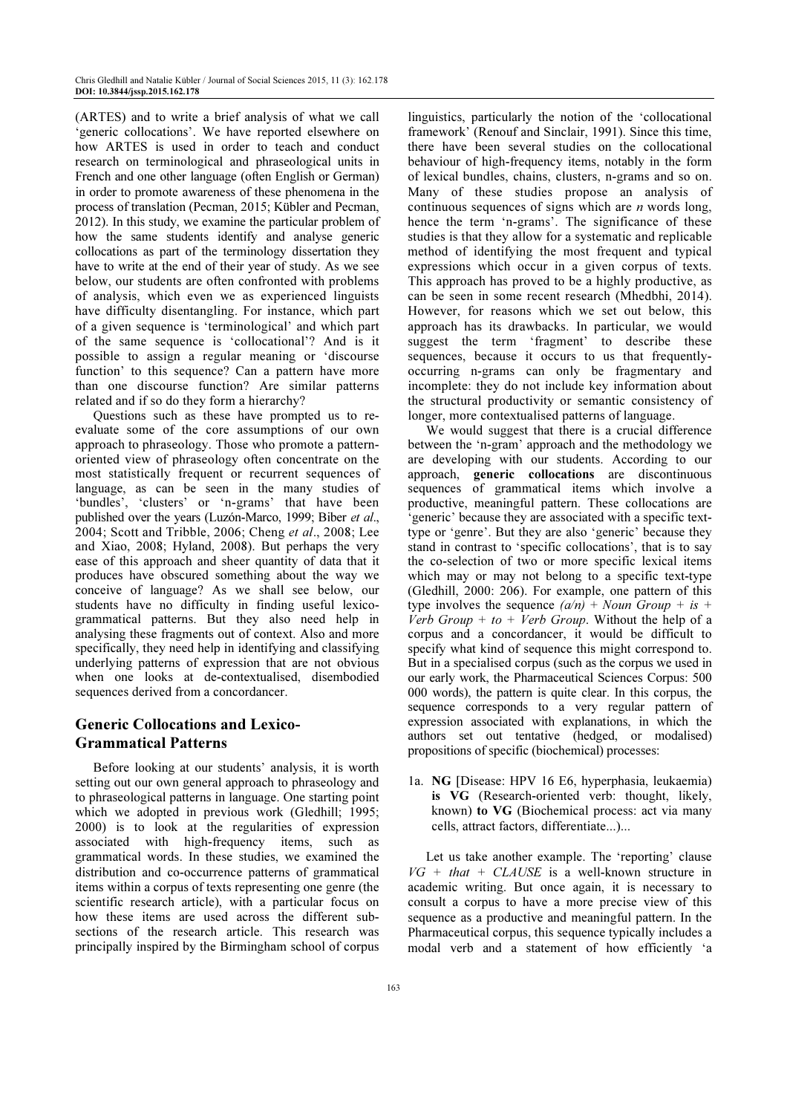(ARTES) and to write a brief analysis of what we call 'generic collocations'. We have reported elsewhere on how ARTES is used in order to teach and conduct research on terminological and phraseological units in French and one other language (often English or German) in order to promote awareness of these phenomena in the process of translation (Pecman, 2015; Kübler and Pecman, 2012). In this study, we examine the particular problem of how the same students identify and analyse generic collocations as part of the terminology dissertation they have to write at the end of their year of study. As we see below, our students are often confronted with problems of analysis, which even we as experienced linguists have difficulty disentangling. For instance, which part of a given sequence is 'terminological' and which part of the same sequence is 'collocational'? And is it possible to assign a regular meaning or 'discourse function' to this sequence? Can a pattern have more than one discourse function? Are similar patterns related and if so do they form a hierarchy?

Questions such as these have prompted us to reevaluate some of the core assumptions of our own approach to phraseology. Those who promote a patternoriented view of phraseology often concentrate on the most statistically frequent or recurrent sequences of language, as can be seen in the many studies of 'bundles', 'clusters' or 'n-grams' that have been published over the years (Luzón-Marco, 1999; Biber et al., 2004; Scott and Tribble, 2006; Cheng et al., 2008; Lee and Xiao, 2008; Hyland, 2008). But perhaps the very ease of this approach and sheer quantity of data that it produces have obscured something about the way we conceive of language? As we shall see below, our students have no difficulty in finding useful lexicogrammatical patterns. But they also need help in analysing these fragments out of context. Also and more specifically, they need help in identifying and classifying underlying patterns of expression that are not obvious when one looks at de-contextualised, disembodied sequences derived from a concordancer.

# Generic Collocations and Lexico-Grammatical Patterns

Before looking at our students' analysis, it is worth setting out our own general approach to phraseology and to phraseological patterns in language. One starting point which we adopted in previous work (Gledhill; 1995; 2000) is to look at the regularities of expression associated with high-frequency items, such as grammatical words. In these studies, we examined the distribution and co-occurrence patterns of grammatical items within a corpus of texts representing one genre (the scientific research article), with a particular focus on how these items are used across the different subsections of the research article. This research was principally inspired by the Birmingham school of corpus

linguistics, particularly the notion of the 'collocational framework' (Renouf and Sinclair, 1991). Since this time, there have been several studies on the collocational behaviour of high-frequency items, notably in the form of lexical bundles, chains, clusters, n-grams and so on. Many of these studies propose an analysis of continuous sequences of signs which are  $n$  words long, hence the term 'n-grams'. The significance of these studies is that they allow for a systematic and replicable method of identifying the most frequent and typical expressions which occur in a given corpus of texts. This approach has proved to be a highly productive, as can be seen in some recent research (Mhedbhi, 2014). However, for reasons which we set out below, this approach has its drawbacks. In particular, we would suggest the term 'fragment' to describe these sequences, because it occurs to us that frequentlyoccurring n-grams can only be fragmentary and incomplete: they do not include key information about the structural productivity or semantic consistency of longer, more contextualised patterns of language.

We would suggest that there is a crucial difference between the 'n-gram' approach and the methodology we are developing with our students. According to our approach, generic collocations are discontinuous sequences of grammatical items which involve a productive, meaningful pattern. These collocations are 'generic' because they are associated with a specific texttype or 'genre'. But they are also 'generic' because they stand in contrast to 'specific collocations', that is to say the co-selection of two or more specific lexical items which may or may not belong to a specific text-type (Gledhill, 2000: 206). For example, one pattern of this type involves the sequence  $(a/n)$  + Noun Group + is + Verb Group + to + Verb Group. Without the help of a corpus and a concordancer, it would be difficult to specify what kind of sequence this might correspond to. But in a specialised corpus (such as the corpus we used in our early work, the Pharmaceutical Sciences Corpus: 500 000 words), the pattern is quite clear. In this corpus, the sequence corresponds to a very regular pattern of expression associated with explanations, in which the authors set out tentative (hedged, or modalised) propositions of specific (biochemical) processes:

1a. NG [Disease: HPV 16 E6, hyperphasia, leukaemia) is VG (Research-oriented verb: thought, likely, known) to VG (Biochemical process: act via many cells, attract factors, differentiate...)...

Let us take another example. The 'reporting' clause  $VG + that + CLAUSE$  is a well-known structure in academic writing. But once again, it is necessary to consult a corpus to have a more precise view of this sequence as a productive and meaningful pattern. In the Pharmaceutical corpus, this sequence typically includes a modal verb and a statement of how efficiently 'a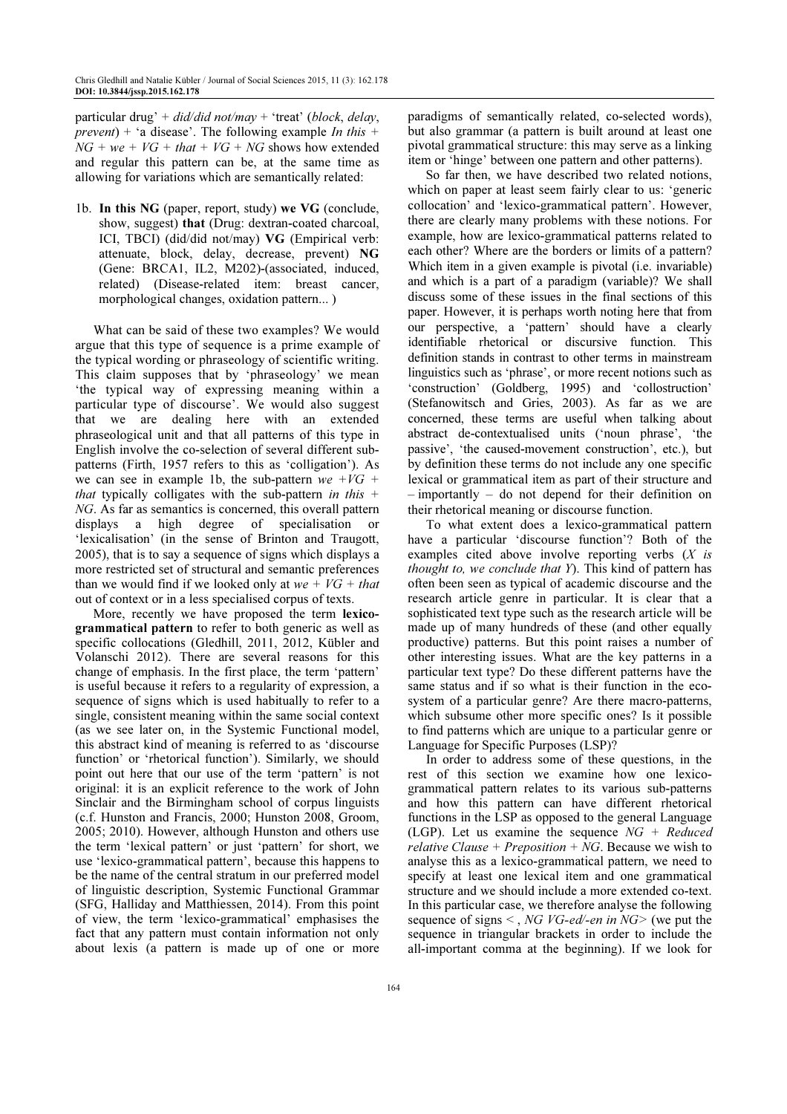particular drug' +  $di\frac{d}{d}$  not/may + 'treat' (block, delay, prevent) + 'a disease'. The following example In this +  $NG + we + VG + that + VG + NG$  shows how extended and regular this pattern can be, at the same time as allowing for variations which are semantically related:

1b. In this NG (paper, report, study) we VG (conclude, show, suggest) that (Drug: dextran-coated charcoal, ICI, TBCI) (did/did not/may) VG (Empirical verb: attenuate, block, delay, decrease, prevent) NG (Gene: BRCA1, IL2, M202)-(associated, induced, related) (Disease-related item: breast cancer, morphological changes, oxidation pattern... )

What can be said of these two examples? We would argue that this type of sequence is a prime example of the typical wording or phraseology of scientific writing. This claim supposes that by 'phraseology' we mean 'the typical way of expressing meaning within a particular type of discourse'. We would also suggest that we are dealing here with an extended phraseological unit and that all patterns of this type in English involve the co-selection of several different subpatterns (Firth, 1957 refers to this as 'colligation'). As we can see in example 1b, the sub-pattern  $we +VG +$ that typically colligates with the sub-pattern in this  $+$ NG. As far as semantics is concerned, this overall pattern displays a high degree of specialisation or 'lexicalisation' (in the sense of Brinton and Traugott, 2005), that is to say a sequence of signs which displays a more restricted set of structural and semantic preferences than we would find if we looked only at  $we + VG + that$ out of context or in a less specialised corpus of texts.

More, recently we have proposed the term lexicogrammatical pattern to refer to both generic as well as specific collocations (Gledhill, 2011, 2012, Kübler and Volanschi 2012). There are several reasons for this change of emphasis. In the first place, the term 'pattern' is useful because it refers to a regularity of expression, a sequence of signs which is used habitually to refer to a single, consistent meaning within the same social context (as we see later on, in the Systemic Functional model, this abstract kind of meaning is referred to as 'discourse function' or 'rhetorical function'). Similarly, we should point out here that our use of the term 'pattern' is not original: it is an explicit reference to the work of John Sinclair and the Birmingham school of corpus linguists (c.f. Hunston and Francis, 2000; Hunston 2008, Groom, 2005; 2010). However, although Hunston and others use the term 'lexical pattern' or just 'pattern' for short, we use 'lexico-grammatical pattern', because this happens to be the name of the central stratum in our preferred model of linguistic description, Systemic Functional Grammar (SFG, Halliday and Matthiessen, 2014). From this point of view, the term 'lexico-grammatical' emphasises the fact that any pattern must contain information not only about lexis (a pattern is made up of one or more

paradigms of semantically related, co-selected words), but also grammar (a pattern is built around at least one pivotal grammatical structure: this may serve as a linking item or 'hinge' between one pattern and other patterns).

So far then, we have described two related notions, which on paper at least seem fairly clear to us: 'generic collocation' and 'lexico-grammatical pattern'. However, there are clearly many problems with these notions. For example, how are lexico-grammatical patterns related to each other? Where are the borders or limits of a pattern? Which item in a given example is pivotal (i.e. invariable) and which is a part of a paradigm (variable)? We shall discuss some of these issues in the final sections of this paper. However, it is perhaps worth noting here that from our perspective, a 'pattern' should have a clearly identifiable rhetorical or discursive function. This definition stands in contrast to other terms in mainstream linguistics such as 'phrase', or more recent notions such as 'construction' (Goldberg, 1995) and 'collostruction' (Stefanowitsch and Gries, 2003). As far as we are concerned, these terms are useful when talking about abstract de-contextualised units ('noun phrase', 'the passive', 'the caused-movement construction', etc.), but by definition these terms do not include any one specific lexical or grammatical item as part of their structure and – importantly – do not depend for their definition on their rhetorical meaning or discourse function.

To what extent does a lexico-grammatical pattern have a particular 'discourse function'? Both of the examples cited above involve reporting verbs  $(X \text{ is }$ thought to, we conclude that  $Y$ ). This kind of pattern has often been seen as typical of academic discourse and the research article genre in particular. It is clear that a sophisticated text type such as the research article will be made up of many hundreds of these (and other equally productive) patterns. But this point raises a number of other interesting issues. What are the key patterns in a particular text type? Do these different patterns have the same status and if so what is their function in the ecosystem of a particular genre? Are there macro-patterns, which subsume other more specific ones? Is it possible to find patterns which are unique to a particular genre or Language for Specific Purposes (LSP)?

In order to address some of these questions, in the rest of this section we examine how one lexicogrammatical pattern relates to its various sub-patterns and how this pattern can have different rhetorical functions in the LSP as opposed to the general Language (LGP). Let us examine the sequence  $NG + Reduced$ relative Clause + Preposition +  $\overline{NG}$ . Because we wish to analyse this as a lexico-grammatical pattern, we need to specify at least one lexical item and one grammatical structure and we should include a more extended co-text. In this particular case, we therefore analyse the following sequence of signs  $\leq$ , NG VG-ed/-en in NG $>$  (we put the sequence in triangular brackets in order to include the all-important comma at the beginning). If we look for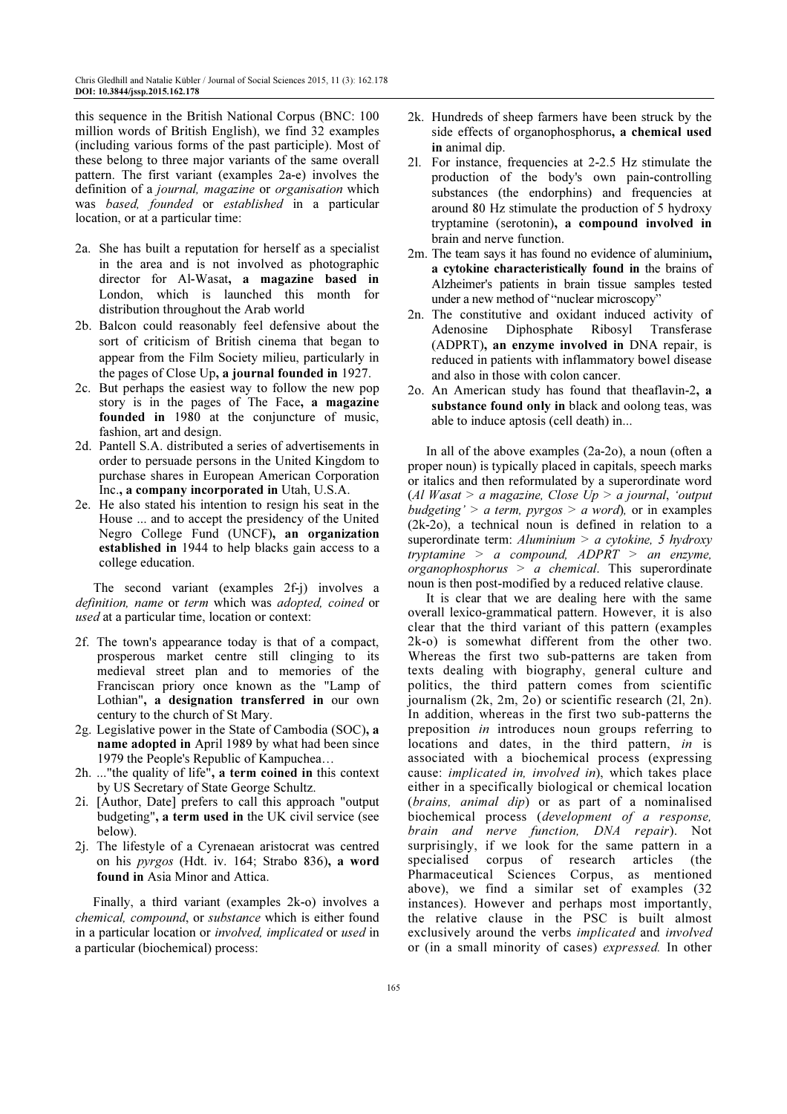this sequence in the British National Corpus (BNC: 100 million words of British English), we find 32 examples (including various forms of the past participle). Most of these belong to three major variants of the same overall pattern. The first variant (examples 2a-e) involves the definition of a journal, magazine or organisation which was based, founded or established in a particular location, or at a particular time:

- 2a. She has built a reputation for herself as a specialist in the area and is not involved as photographic director for Al-Wasat, a magazine based in London, which is launched this month for distribution throughout the Arab world
- 2b. Balcon could reasonably feel defensive about the sort of criticism of British cinema that began to appear from the Film Society milieu, particularly in the pages of Close Up, a journal founded in 1927.
- 2c. But perhaps the easiest way to follow the new pop story is in the pages of The Face, a magazine founded in 1980 at the conjuncture of music, fashion, art and design.
- 2d. Pantell S.A. distributed a series of advertisements in order to persuade persons in the United Kingdom to purchase shares in European American Corporation Inc., a company incorporated in Utah, U.S.A.
- 2e. He also stated his intention to resign his seat in the House ... and to accept the presidency of the United Negro College Fund (UNCF), an organization established in 1944 to help blacks gain access to a college education.

The second variant (examples 2f-j) involves a definition, name or term which was adopted, coined or used at a particular time, location or context:

- 2f. The town's appearance today is that of a compact, prosperous market centre still clinging to its medieval street plan and to memories of the Franciscan priory once known as the "Lamp of Lothian", a designation transferred in our own century to the church of St Mary.
- 2g. Legislative power in the State of Cambodia (SOC), a name adopted in April 1989 by what had been since 1979 the People's Republic of Kampuchea…
- 2h. ..."the quality of life", a term coined in this context by US Secretary of State George Schultz.
- 2i. [Author, Date] prefers to call this approach "output budgeting", a term used in the UK civil service (see below).
- 2j. The lifestyle of a Cyrenaean aristocrat was centred on his pyrgos (Hdt. iv. 164; Strabo 836), a word found in Asia Minor and Attica.

Finally, a third variant (examples 2k-o) involves a chemical, compound, or substance which is either found in a particular location or involved, implicated or used in a particular (biochemical) process:

- 2k. Hundreds of sheep farmers have been struck by the side effects of organophosphorus, a chemical used in animal dip.
- 2l. For instance, frequencies at 2-2.5 Hz stimulate the production of the body's own pain-controlling substances (the endorphins) and frequencies at around 80 Hz stimulate the production of 5 hydroxy tryptamine (serotonin), a compound involved in brain and nerve function.
- 2m. The team says it has found no evidence of aluminium, a cytokine characteristically found in the brains of Alzheimer's patients in brain tissue samples tested under a new method of "nuclear microscopy"
- 2n. The constitutive and oxidant induced activity of Adenosine Diphosphate Ribosyl Transferase (ADPRT), an enzyme involved in DNA repair, is reduced in patients with inflammatory bowel disease and also in those with colon cancer.
- 2o. An American study has found that theaflavin-2, a substance found only in black and oolong teas, was able to induce aptosis (cell death) in...

In all of the above examples (2a-2o), a noun (often a proper noun) is typically placed in capitals, speech marks or italics and then reformulated by a superordinate word (Al Wasat > a magazine, Close  $Up > a$  journal, 'output budgeting' > a term, pyrgos > a word), or in examples (2k-2o), a technical noun is defined in relation to a superordinate term:  $Alumiium > a$  cytokine, 5 hydroxy tryptamine > a compound,  $ADPRT$  > an enzyme, organophosphorus  $> a$  chemical. This superordinate noun is then post-modified by a reduced relative clause.

It is clear that we are dealing here with the same overall lexico-grammatical pattern. However, it is also clear that the third variant of this pattern (examples 2k-o) is somewhat different from the other two. Whereas the first two sub-patterns are taken from texts dealing with biography, general culture and politics, the third pattern comes from scientific journalism (2k, 2m, 2o) or scientific research (2l, 2n). In addition, whereas in the first two sub-patterns the preposition in introduces noun groups referring to locations and dates, in the third pattern, in is associated with a biochemical process (expressing cause: implicated in, involved in), which takes place either in a specifically biological or chemical location (brains, animal dip) or as part of a nominalised biochemical process (development of a response, brain and nerve function, DNA repair). Not surprisingly, if we look for the same pattern in a specialised corpus of research articles (the Pharmaceutical Sciences Corpus, as mentioned above), we find a similar set of examples (32 instances). However and perhaps most importantly, the relative clause in the PSC is built almost exclusively around the verbs implicated and involved or (in a small minority of cases) expressed. In other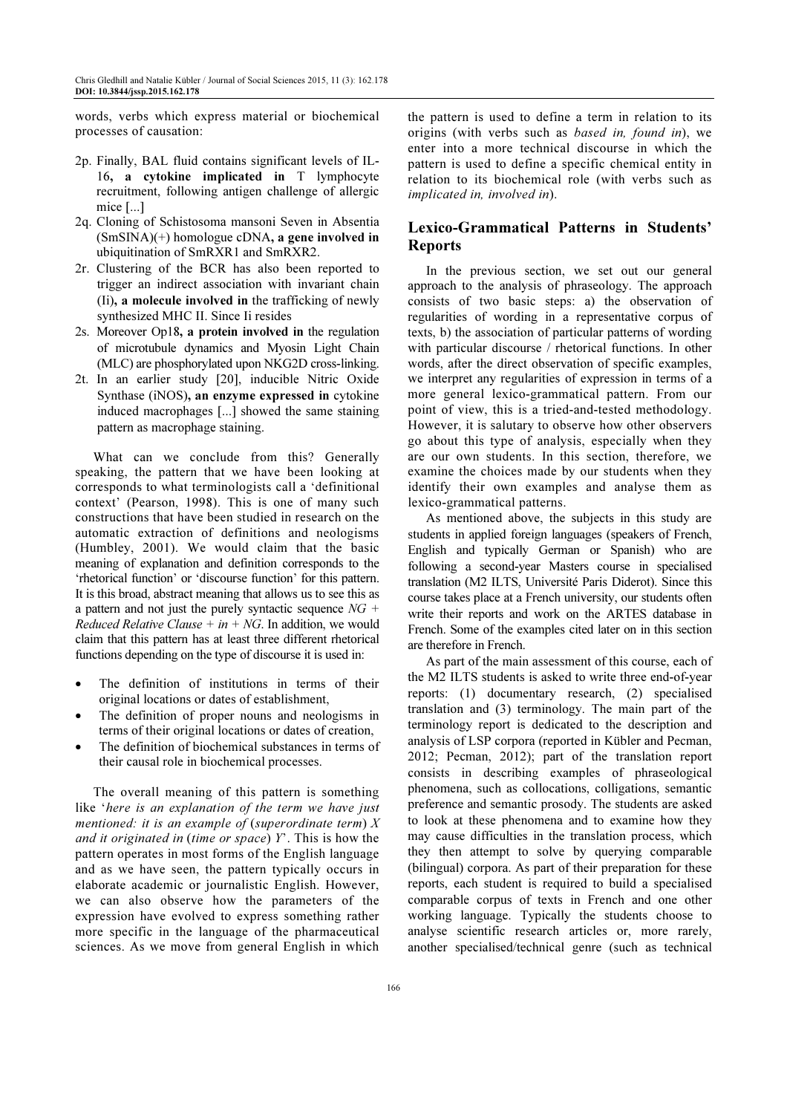words, verbs which express material or biochemical processes of causation:

- 2p. Finally, BAL fluid contains significant levels of IL-16, a cytokine implicated in T lymphocyte recruitment, following antigen challenge of allergic mice [...]
- 2q. Cloning of Schistosoma mansoni Seven in Absentia  $(SmSINA)(+)$  homologue cDNA, a gene involved in ubiquitination of SmRXR1 and SmRXR2.
- 2r. Clustering of the BCR has also been reported to trigger an indirect association with invariant chain (Ii), a molecule involved in the trafficking of newly synthesized MHC II. Since Ii resides
- 2s. Moreover Op18, a protein involved in the regulation of microtubule dynamics and Myosin Light Chain (MLC) are phosphorylated upon NKG2D cross-linking.
- 2t. In an earlier study [20], inducible Nitric Oxide Synthase (iNOS), an enzyme expressed in cytokine induced macrophages [...] showed the same staining pattern as macrophage staining.

What can we conclude from this? Generally speaking, the pattern that we have been looking at corresponds to what terminologists call a 'definitional context' (Pearson, 1998). This is one of many such constructions that have been studied in research on the automatic extraction of definitions and neologisms (Humbley, 2001). We would claim that the basic meaning of explanation and definition corresponds to the 'rhetorical function' or 'discourse function' for this pattern. It is this broad, abstract meaning that allows us to see this as a pattern and not just the purely syntactic sequence  $NG +$ *Reduced Relative Clause* +  $in + NG$ . In addition, we would claim that this pattern has at least three different rhetorical functions depending on the type of discourse it is used in:

- The definition of institutions in terms of their original locations or dates of establishment,
- The definition of proper nouns and neologisms in terms of their original locations or dates of creation,
- The definition of biochemical substances in terms of their causal role in biochemical processes.

The overall meaning of this pattern is something like 'here is an explanation of the term we have just mentioned: it is an example of (superordinate term)  $X$ and it originated in (time or space)  $Y'$ . This is how the pattern operates in most forms of the English language and as we have seen, the pattern typically occurs in elaborate academic or journalistic English. However, we can also observe how the parameters of the expression have evolved to express something rather more specific in the language of the pharmaceutical sciences. As we move from general English in which

the pattern is used to define a term in relation to its origins (with verbs such as based in, found in), we enter into a more technical discourse in which the pattern is used to define a specific chemical entity in relation to its biochemical role (with verbs such as implicated in, involved in).

## Lexico-Grammatical Patterns in Students' Reports

In the previous section, we set out our general approach to the analysis of phraseology. The approach consists of two basic steps: a) the observation of regularities of wording in a representative corpus of texts, b) the association of particular patterns of wording with particular discourse / rhetorical functions. In other words, after the direct observation of specific examples, we interpret any regularities of expression in terms of a more general lexico-grammatical pattern. From our point of view, this is a tried-and-tested methodology. However, it is salutary to observe how other observers go about this type of analysis, especially when they are our own students. In this section, therefore, we examine the choices made by our students when they identify their own examples and analyse them as lexico-grammatical patterns.

As mentioned above, the subjects in this study are students in applied foreign languages (speakers of French, English and typically German or Spanish) who are following a second-year Masters course in specialised translation (M2 ILTS, Université Paris Diderot). Since this course takes place at a French university, our students often write their reports and work on the ARTES database in French. Some of the examples cited later on in this section are therefore in French.

As part of the main assessment of this course, each of the M2 ILTS students is asked to write three end-of-year reports: (1) documentary research, (2) specialised translation and (3) terminology. The main part of the terminology report is dedicated to the description and analysis of LSP corpora (reported in Kübler and Pecman, 2012; Pecman, 2012); part of the translation report consists in describing examples of phraseological phenomena, such as collocations, colligations, semantic preference and semantic prosody. The students are asked to look at these phenomena and to examine how they may cause difficulties in the translation process, which they then attempt to solve by querying comparable (bilingual) corpora. As part of their preparation for these reports, each student is required to build a specialised comparable corpus of texts in French and one other working language. Typically the students choose to analyse scientific research articles or, more rarely, another specialised/technical genre (such as technical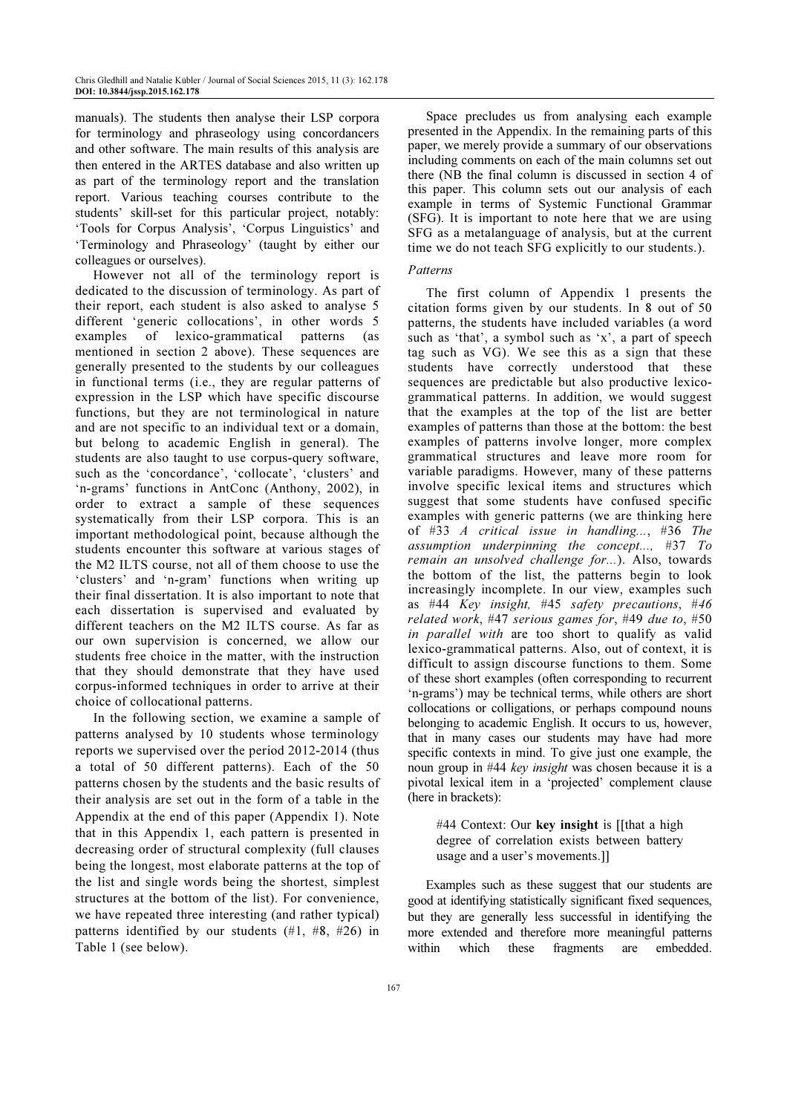manuals). The students then analyse their LSP corpora for terminology and phraseology using concordancers and other software. The main results of this analysis are then entered in the ARTES database and also written up as part of the terminology report and the translation report. Various teaching courses contribute to the students' skill-set for this particular project, notably: 'Tools for Corpus Analysis', 'Corpus Linguistics' and 'Terminology and Phraseology' (taught by either our colleagues or ourselves).

However not all of the terminology report is dedicated to the discussion of terminology. As part of their report, each student is also asked to analyse 5 different 'generic collocations', in other words 5 examples of lexico-grammatical patterns (as mentioned in section 2 above). These sequences are generally presented to the students by our colleagues in functional terms (i.e., they are regular patterns of expression in the LSP which have specific discourse functions, but they are not terminological in nature and are not specific to an individual text or a domain, but belong to academic English in general). The students are also taught to use corpus-query software, such as the 'concordance', 'collocate', 'clusters' and 'n-grams' functions in AntConc (Anthony, 2002), in order to extract a sample of these sequences systematically from their LSP corpora. This is an important methodological point, because although the students encounter this software at various stages of the M2 ILTS course, not all of them choose to use the 'clusters' and 'n-gram' functions when writing up their final dissertation. It is also important to note that each dissertation is supervised and evaluated by different teachers on the M2 ILTS course. As far as our own supervision is concerned, we allow our students free choice in the matter, with the instruction that they should demonstrate that they have used corpus-informed techniques in order to arrive at their choice of collocational patterns.

In the following section, we examine a sample of patterns analysed by 10 students whose terminology reports we supervised over the period 2012-2014 (thus a total of 50 different patterns). Each of the 50 patterns chosen by the students and the basic results of their analysis are set out in the form of a table in the Appendix at the end of this paper (Appendix 1). Note that in this Appendix 1, each pattern is presented in decreasing order of structural complexity (full clauses being the longest, most elaborate patterns at the top of the list and single words being the shortest, simplest structures at the bottom of the list). For convenience, we have repeated three interesting (and rather typical) patterns identified by our students (#1, #8, #26) in Table 1 (see below).

Space precludes us from analysing each example presented in the Appendix. In the remaining parts of this paper, we merely provide a summary of our observations including comments on each of the main columns set out there (NB the final column is discussed in section 4 of this paper. This column sets out our analysis of each example in terms of Systemic Functional Grammar (SFG). It is important to note here that we are using SFG as a metalanguage of analysis, but at the current time we do not teach SFG explicitly to our students.).

#### Patterns

The first column of Appendix 1 presents the citation forms given by our students. In 8 out of 50 patterns, the students have included variables (a word such as 'that', a symbol such as 'x', a part of speech tag such as VG). We see this as a sign that these students have correctly understood that these sequences are predictable but also productive lexicogrammatical patterns. In addition, we would suggest that the examples at the top of the list are better examples of patterns than those at the bottom: the best examples of patterns involve longer, more complex grammatical structures and leave more room for variable paradigms. However, many of these patterns involve specific lexical items and structures which suggest that some students have confused specific examples with generic patterns (we are thinking here of #33 A critical issue in handling..., #36 The assumption underpinning the concept..., #37 To remain an unsolved challenge for...). Also, towards the bottom of the list, the patterns begin to look increasingly incomplete. In our view, examples such as #44 Key insight, #45 safety precautions, #46 related work, #47 serious games for, #49 due to, #50 in parallel with are too short to qualify as valid lexico-grammatical patterns. Also, out of context, it is difficult to assign discourse functions to them. Some of these short examples (often corresponding to recurrent 'n-grams') may be technical terms, while others are short collocations or colligations, or perhaps compound nouns belonging to academic English. It occurs to us, however, that in many cases our students may have had more specific contexts in mind. To give just one example, the noun group in #44 key insight was chosen because it is a pivotal lexical item in a 'projected' complement clause (here in brackets):

### #44 Context: Our key insight is [[that a high degree of correlation exists between battery usage and a user's movements.]]

Examples such as these suggest that our students are good at identifying statistically significant fixed sequences, but they are generally less successful in identifying the more extended and therefore more meaningful patterns within which these fragments are embedded.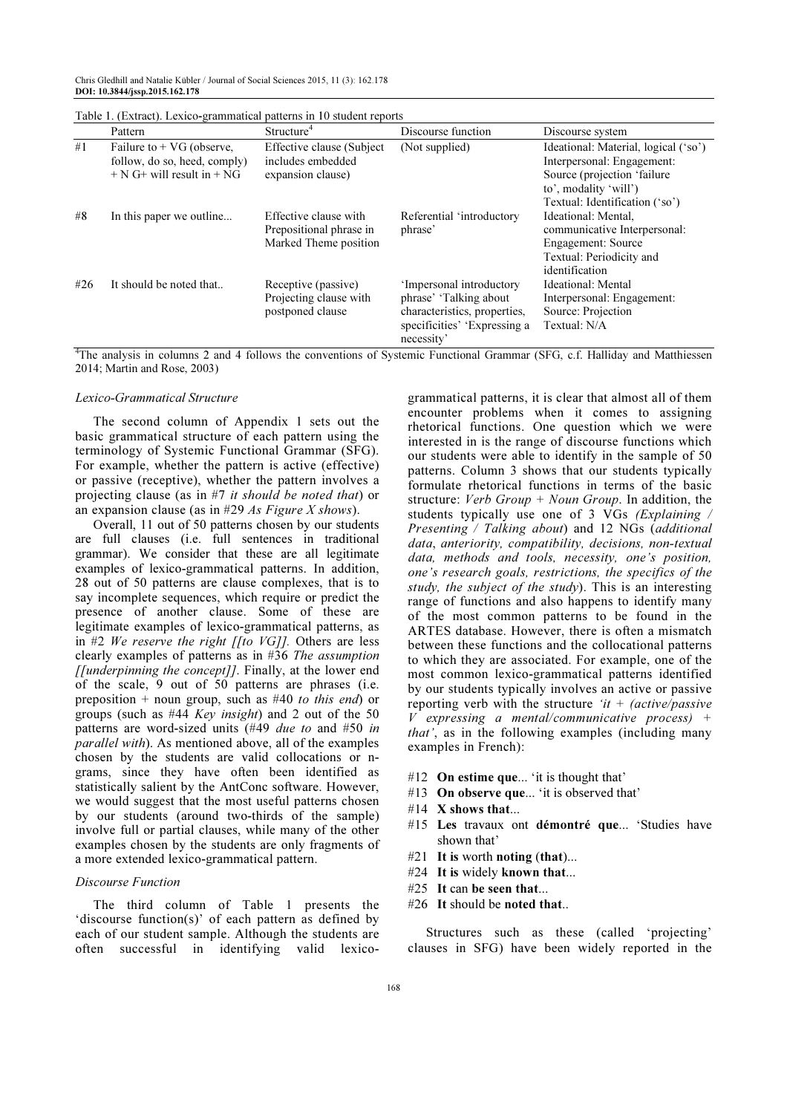|     | Pattern                                                                                       | Structure <sup>4</sup>                                                    | Discourse function                                                                                                               | Discourse system                                                                                                                                             |
|-----|-----------------------------------------------------------------------------------------------|---------------------------------------------------------------------------|----------------------------------------------------------------------------------------------------------------------------------|--------------------------------------------------------------------------------------------------------------------------------------------------------------|
| #1  | Failure to $+$ VG (observe,<br>follow, do so, heed, comply)<br>$+ N G+$ will result in $+ NG$ | Effective clause (Subject)<br>includes embedded<br>expansion clause)      | (Not supplied)                                                                                                                   | Ideational: Material, logical ('so')<br>Interpersonal: Engagement:<br>Source (projection 'failure<br>to', modality 'will')<br>Textual: Identification ('so') |
| #8  | In this paper we outline                                                                      | Effective clause with<br>Prepositional phrase in<br>Marked Theme position | Referential 'introductory<br>phrase'                                                                                             | Ideational: Mental,<br>communicative Interpersonal:<br>Engagement: Source<br>Textual: Periodicity and<br>identification                                      |
| #26 | It should be noted that                                                                       | Receptive (passive)<br>Projecting clause with<br>postponed clause         | 'Impersonal introductory<br>phrase' 'Talking about<br>characteristics, properties,<br>specificities' 'Expressing a<br>necessity' | Ideational: Mental<br>Interpersonal: Engagement:<br>Source: Projection<br>Textual: N/A                                                                       |

Table 1. (Extract). Lexico-grammatical patterns in 10 student reports

<sup>4</sup>The analysis in columns 2 and 4 follows the conventions of Systemic Functional Grammar (SFG, c.f. Halliday and Matthiessen 2014; Martin and Rose, 2003)

#### Lexico-Grammatical Structure

The second column of Appendix 1 sets out the basic grammatical structure of each pattern using the terminology of Systemic Functional Grammar (SFG). For example, whether the pattern is active (effective) or passive (receptive), whether the pattern involves a projecting clause (as in #7 it should be noted that) or an expansion clause (as in #29 As Figure X shows).

Overall, 11 out of 50 patterns chosen by our students are full clauses (i.e. full sentences in traditional grammar). We consider that these are all legitimate examples of lexico-grammatical patterns. In addition, 28 out of 50 patterns are clause complexes, that is to say incomplete sequences, which require or predict the presence of another clause. Some of these are legitimate examples of lexico-grammatical patterns, as in #2 We reserve the right  $[$ [to VG]]. Others are less clearly examples of patterns as in #36 The assumption [[underpinning the concept]]. Finally, at the lower end of the scale, 9 out of 50 patterns are phrases (i.e. preposition + noun group, such as  $#40$  to this end) or groups (such as #44 Key insight) and 2 out of the 50 patterns are word-sized units (#49 due to and #50 in parallel with). As mentioned above, all of the examples chosen by the students are valid collocations or ngrams, since they have often been identified as statistically salient by the AntConc software. However, we would suggest that the most useful patterns chosen by our students (around two-thirds of the sample) involve full or partial clauses, while many of the other examples chosen by the students are only fragments of a more extended lexico-grammatical pattern.

#### Discourse Function

The third column of Table 1 presents the 'discourse function(s)' of each pattern as defined by each of our student sample. Although the students are often successful in identifying valid lexico-

grammatical patterns, it is clear that almost all of them encounter problems when it comes to assigning rhetorical functions. One question which we were interested in is the range of discourse functions which our students were able to identify in the sample of 50 patterns. Column 3 shows that our students typically formulate rhetorical functions in terms of the basic structure: Verb Group + Noun Group. In addition, the students typically use one of 3 VGs (Explaining / Presenting / Talking about) and 12 NGs (additional data, anteriority, compatibility, decisions, non-textual data, methods and tools, necessity, one's position, one's research goals, restrictions, the specifics of the study, the subject of the study). This is an interesting range of functions and also happens to identify many of the most common patterns to be found in the ARTES database. However, there is often a mismatch between these functions and the collocational patterns to which they are associated. For example, one of the most common lexico-grammatical patterns identified by our students typically involves an active or passive reporting verb with the structure 'it + (active/passive V expressing a mental/communicative process) + that', as in the following examples (including many examples in French):

- #12 **On estime que...** 'it is thought that'
- #13 On observe que... 'it is observed that'
- $#14$  X shows that...
- #15 Les travaux ont démontré que... 'Studies have shown that'
- $#21$  It is worth noting (that)...
- #24 It is widely known that...
- $#25$  It can be seen that...
- #26 It should be noted that...

Structures such as these (called 'projecting' clauses in SFG) have been widely reported in the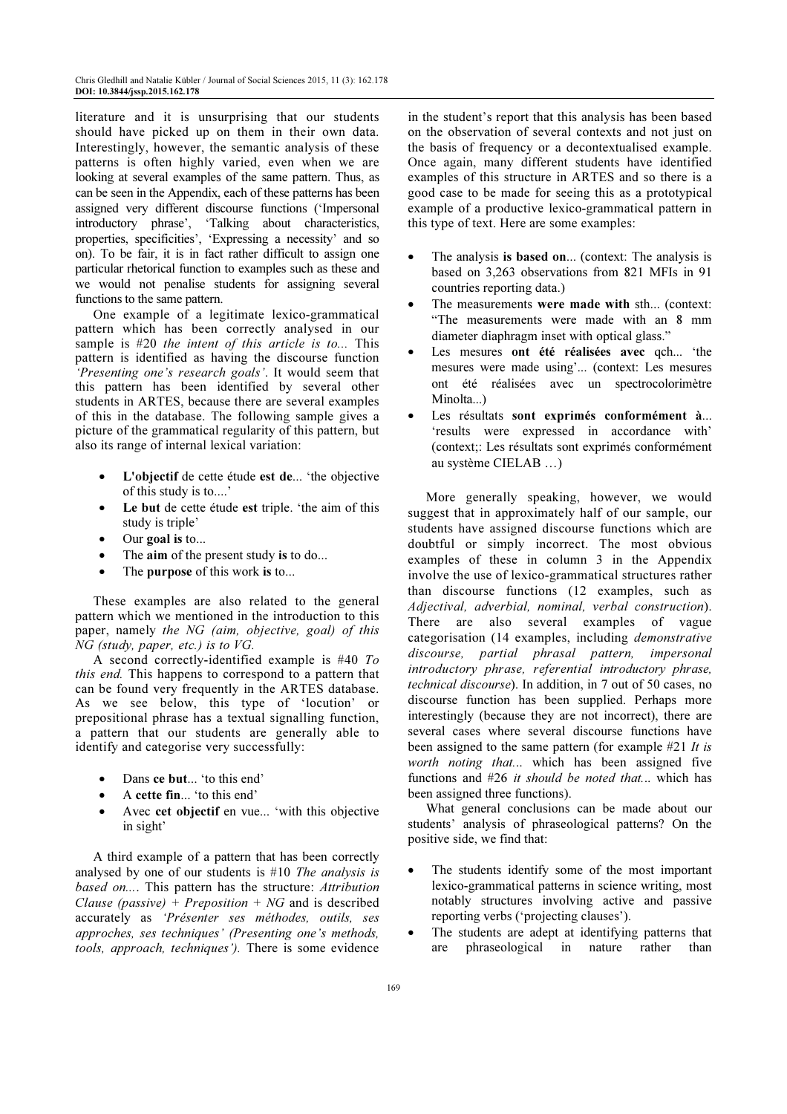literature and it is unsurprising that our students should have picked up on them in their own data. Interestingly, however, the semantic analysis of these patterns is often highly varied, even when we are looking at several examples of the same pattern. Thus, as can be seen in the Appendix, each of these patterns has been assigned very different discourse functions ('Impersonal introductory phrase', 'Talking about characteristics, properties, specificities', 'Expressing a necessity' and so on). To be fair, it is in fact rather difficult to assign one particular rhetorical function to examples such as these and we would not penalise students for assigning several functions to the same pattern.

One example of a legitimate lexico-grammatical pattern which has been correctly analysed in our sample is #20 *the intent of this article is to...* This pattern is identified as having the discourse function 'Presenting one's research goals'. It would seem that this pattern has been identified by several other students in ARTES, because there are several examples of this in the database. The following sample gives a picture of the grammatical regularity of this pattern, but also its range of internal lexical variation:

- L'objectif de cette étude est de... 'the objective of this study is to....'
- Le but de cette étude est triple. 'the aim of this study is triple'
- Our goal is to...
- The aim of the present study is to do...
- The **purpose** of this work is to...

These examples are also related to the general pattern which we mentioned in the introduction to this paper, namely the NG (aim, objective, goal) of this NG (study, paper, etc.) is to VG.

A second correctly-identified example is #40 To this end. This happens to correspond to a pattern that can be found very frequently in the ARTES database. As we see below, this type of 'locution' or prepositional phrase has a textual signalling function, a pattern that our students are generally able to identify and categorise very successfully:

- Dans ce but... 'to this end'
- A cette fin... 'to this end'
- Avec cet objectif en vue... 'with this objective in sight'

A third example of a pattern that has been correctly analysed by one of our students is #10 The analysis is based on.... This pattern has the structure: Attribution Clause (passive) + Preposition + NG and is described accurately as 'Présenter ses méthodes, outils, ses approches, ses techniques' (Presenting one's methods, tools, approach, techniques'). There is some evidence

in the student's report that this analysis has been based on the observation of several contexts and not just on the basis of frequency or a decontextualised example. Once again, many different students have identified examples of this structure in ARTES and so there is a good case to be made for seeing this as a prototypical example of a productive lexico-grammatical pattern in this type of text. Here are some examples:

- The analysis is based on... (context: The analysis is based on 3,263 observations from 821 MFIs in 91 countries reporting data.)
- The measurements were made with sth... (context: "The measurements were made with an 8 mm diameter diaphragm inset with optical glass."
- Les mesures ont été réalisées avec qch... 'the mesures were made using'... (context: Les mesures ont été réalisées avec un spectrocolorimètre Minolta...)
- Les résultats sont exprimés conformément à... 'results were expressed in accordance with' (context;: Les résultats sont exprimés conformément au système CIELAB …)

More generally speaking, however, we would suggest that in approximately half of our sample, our students have assigned discourse functions which are doubtful or simply incorrect. The most obvious examples of these in column 3 in the Appendix involve the use of lexico-grammatical structures rather than discourse functions (12 examples, such as Adjectival, adverbial, nominal, verbal construction). There are also several examples of vague categorisation (14 examples, including demonstrative discourse, partial phrasal pattern, impersonal introductory phrase, referential introductory phrase, technical discourse). In addition, in 7 out of 50 cases, no discourse function has been supplied. Perhaps more interestingly (because they are not incorrect), there are several cases where several discourse functions have been assigned to the same pattern (for example  $#21$  It is worth noting that... which has been assigned five functions and #26 it should be noted that... which has been assigned three functions).

What general conclusions can be made about our students' analysis of phraseological patterns? On the positive side, we find that:

- The students identify some of the most important lexico-grammatical patterns in science writing, most notably structures involving active and passive reporting verbs ('projecting clauses').
- The students are adept at identifying patterns that are phraseological in nature rather than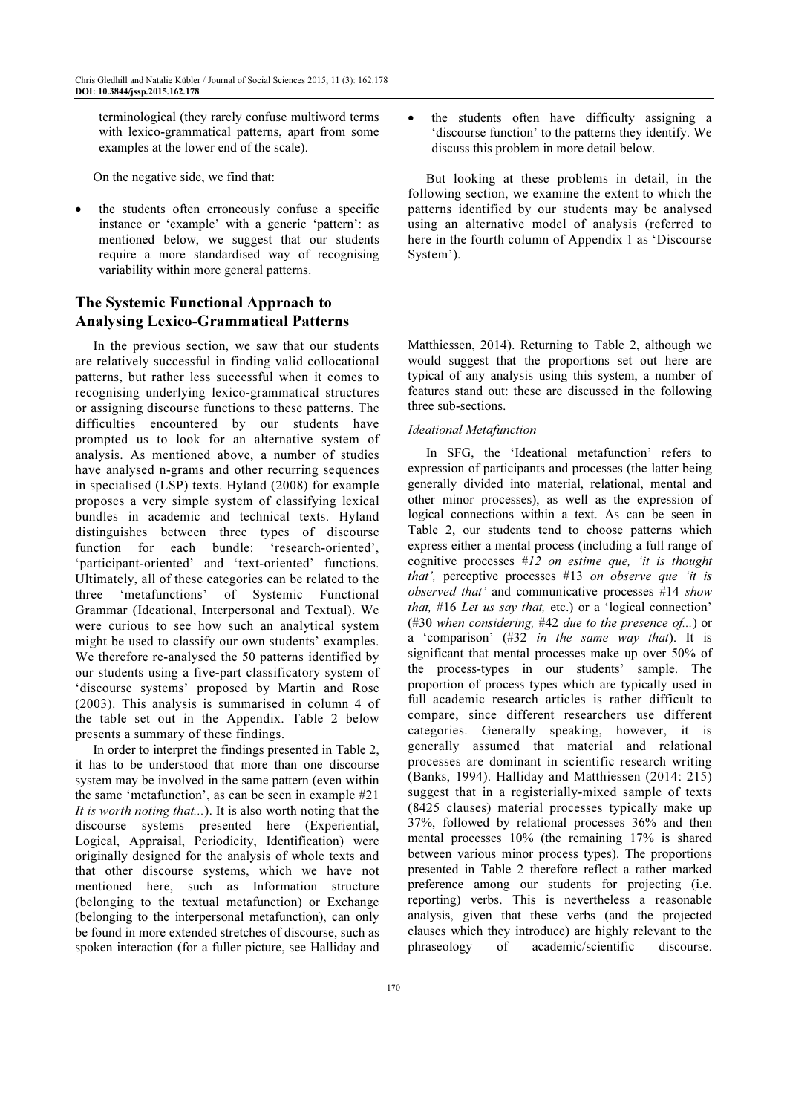terminological (they rarely confuse multiword terms with lexico-grammatical patterns, apart from some examples at the lower end of the scale).

On the negative side, we find that:

the students often erroneously confuse a specific instance or 'example' with a generic 'pattern': as mentioned below, we suggest that our students require a more standardised way of recognising variability within more general patterns.

## The Systemic Functional Approach to Analysing Lexico-Grammatical Patterns

In the previous section, we saw that our students are relatively successful in finding valid collocational patterns, but rather less successful when it comes to recognising underlying lexico-grammatical structures or assigning discourse functions to these patterns. The difficulties encountered by our students have prompted us to look for an alternative system of analysis. As mentioned above, a number of studies have analysed n-grams and other recurring sequences in specialised (LSP) texts. Hyland (2008) for example proposes a very simple system of classifying lexical bundles in academic and technical texts. Hyland distinguishes between three types of discourse function for each bundle: 'research-oriented', 'participant-oriented' and 'text-oriented' functions. Ultimately, all of these categories can be related to the three 'metafunctions' of Systemic Functional Grammar (Ideational, Interpersonal and Textual). We were curious to see how such an analytical system might be used to classify our own students' examples. We therefore re-analysed the 50 patterns identified by our students using a five-part classificatory system of 'discourse systems' proposed by Martin and Rose (2003). This analysis is summarised in column 4 of the table set out in the Appendix. Table 2 below presents a summary of these findings.

In order to interpret the findings presented in Table 2, it has to be understood that more than one discourse system may be involved in the same pattern (even within the same 'metafunction', as can be seen in example #21 It is worth noting that...). It is also worth noting that the discourse systems presented here (Experiential, Logical, Appraisal, Periodicity, Identification) were originally designed for the analysis of whole texts and that other discourse systems, which we have not mentioned here, such as Information structure (belonging to the textual metafunction) or Exchange (belonging to the interpersonal metafunction), can only be found in more extended stretches of discourse, such as spoken interaction (for a fuller picture, see Halliday and

• the students often have difficulty assigning a 'discourse function' to the patterns they identify. We discuss this problem in more detail below.

But looking at these problems in detail, in the following section, we examine the extent to which the patterns identified by our students may be analysed using an alternative model of analysis (referred to here in the fourth column of Appendix 1 as 'Discourse System').

Matthiessen, 2014). Returning to Table 2, although we would suggest that the proportions set out here are typical of any analysis using this system, a number of features stand out: these are discussed in the following three sub-sections.

#### Ideational Metafunction

In SFG, the 'Ideational metafunction' refers to expression of participants and processes (the latter being generally divided into material, relational, mental and other minor processes), as well as the expression of logical connections within a text. As can be seen in Table 2, our students tend to choose patterns which express either a mental process (including a full range of cognitive processes #12 on estime que, 'it is thought that', perceptive processes #13 on observe que 'it is observed that' and communicative processes #14 show that, #16 Let us say that, etc.) or a 'logical connection' (#30 when considering, #42 due to the presence of...) or a 'comparison' (#32 in the same way that). It is significant that mental processes make up over 50% of the process-types in our students' sample. The proportion of process types which are typically used in full academic research articles is rather difficult to compare, since different researchers use different categories. Generally speaking, however, it is generally assumed that material and relational processes are dominant in scientific research writing (Banks, 1994). Halliday and Matthiessen (2014: 215) suggest that in a registerially-mixed sample of texts (8425 clauses) material processes typically make up 37%, followed by relational processes 36% and then mental processes 10% (the remaining 17% is shared between various minor process types). The proportions presented in Table 2 therefore reflect a rather marked preference among our students for projecting (i.e. reporting) verbs. This is nevertheless a reasonable analysis, given that these verbs (and the projected clauses which they introduce) are highly relevant to the phraseology of academic/scientific discourse.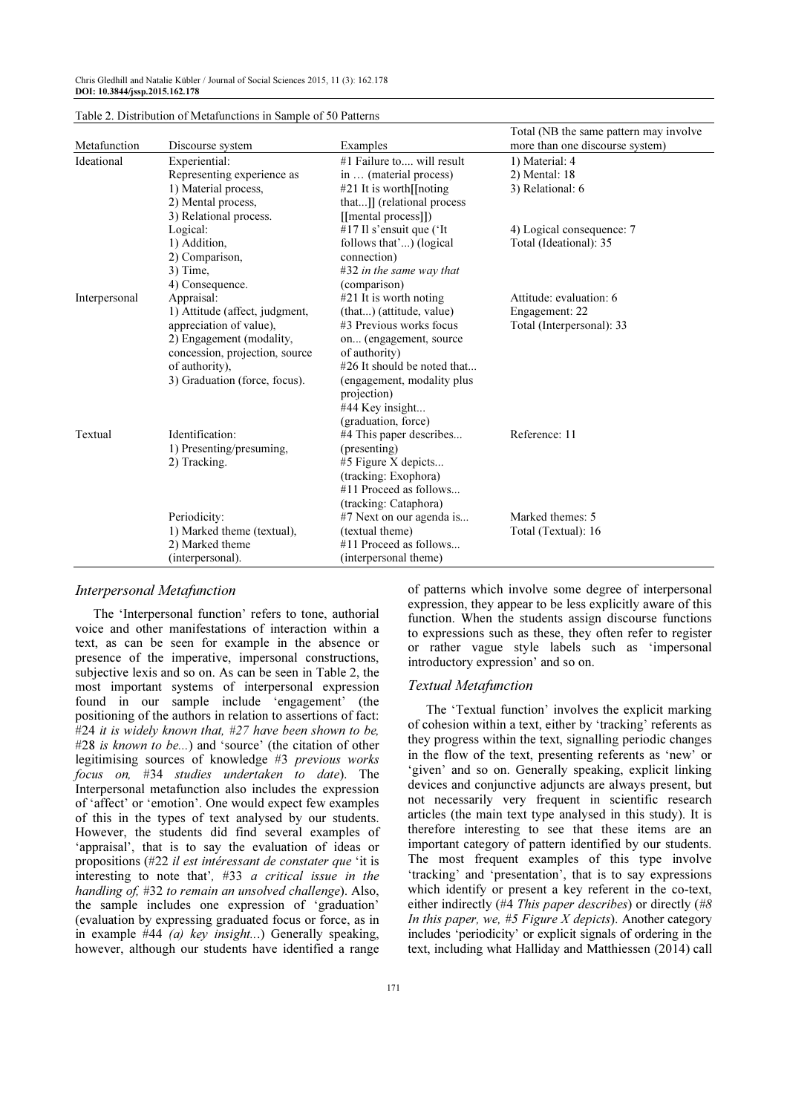|               |                                |                                                  | Total (NB the same pattern may involve) |
|---------------|--------------------------------|--------------------------------------------------|-----------------------------------------|
| Metafunction  | Discourse system               | Examples                                         | more than one discourse system)         |
| Ideational    | Experiential:                  | #1 Failure to, will result                       | 1) Material: 4                          |
|               | Representing experience as     | in  (material process)                           | 2) Mental: 18                           |
|               | 1) Material process,           | #21 It is worth [[noting]                        | 3) Relational: 6                        |
|               | 2) Mental process,             | that]] (relational process                       |                                         |
|               | 3) Relational process.         | [[mental process]])                              |                                         |
|               | Logical:                       | $#17$ Il s'ensuit que ('It                       | 4) Logical consequence: 7               |
|               | 1) Addition,                   | follows that') (logical                          | Total (Ideational): 35                  |
|               | 2) Comparison,                 | connection)                                      |                                         |
|               | $3)$ Time.                     | #32 in the same way that                         |                                         |
|               | 4) Consequence.                | (comparison)                                     |                                         |
| Interpersonal | Appraisal:                     | #21 It is worth noting                           | Attitude: evaluation: 6                 |
|               | 1) Attitude (affect, judgment, | (that) (attitude, value)                         | Engagement: 22                          |
|               | appreciation of value),        | #3 Previous works focus                          | Total (Interpersonal): 33               |
|               | 2) Engagement (modality,       | on (engagement, source                           |                                         |
|               | concession, projection, source | of authority)                                    |                                         |
|               | of authority),                 | #26 It should be noted that                      |                                         |
|               | 3) Graduation (force, focus).  | (engagement, modality plus)                      |                                         |
|               |                                | projection)                                      |                                         |
|               |                                | #44 Key insight                                  |                                         |
|               |                                | (graduation, force)                              |                                         |
| Textual       | Identification:                | #4 This paper describes                          | Reference: 11                           |
|               | 1) Presenting/presuming,       | (presenting)                                     |                                         |
|               | 2) Tracking.                   | #5 Figure X depicts                              |                                         |
|               |                                | (tracking: Exophora)<br>$#11$ Proceed as follows |                                         |
|               |                                |                                                  |                                         |
|               |                                | (tracking: Cataphora)                            | Marked themes: 5                        |
|               | Periodicity:                   | #7 Next on our agenda is                         |                                         |
|               | 1) Marked theme (textual),     | (textual theme)<br>$#11$ Proceed as follows      | Total (Textual): 16                     |
|               | 2) Marked theme                |                                                  |                                         |
|               | (interpersonal).               | (interpersonal theme)                            |                                         |

#### Table 2. Distribution of Metafunctions in Sample of 50 Patterns

#### Interpersonal Metafunction

The 'Interpersonal function' refers to tone, authorial voice and other manifestations of interaction within a text, as can be seen for example in the absence or presence of the imperative, impersonal constructions, subjective lexis and so on. As can be seen in Table 2, the most important systems of interpersonal expression found in our sample include 'engagement' (the positioning of the authors in relation to assertions of fact:  $#24$  it is widely known that,  $#27$  have been shown to be, #28 is known to be...) and 'source' (the citation of other legitimising sources of knowledge #3 previous works focus on, #34 studies undertaken to date). The Interpersonal metafunction also includes the expression of 'affect' or 'emotion'. One would expect few examples of this in the types of text analysed by our students. However, the students did find several examples of 'appraisal', that is to say the evaluation of ideas or propositions (#22 il est intéressant de constater que 'it is interesting to note that', #33 a critical issue in the handling of, #32 to remain an unsolved challenge). Also, the sample includes one expression of 'graduation' (evaluation by expressing graduated focus or force, as in in example #44 (a) key insight...) Generally speaking, however, although our students have identified a range of patterns which involve some degree of interpersonal expression, they appear to be less explicitly aware of this function. When the students assign discourse functions to expressions such as these, they often refer to register or rather vague style labels such as 'impersonal introductory expression' and so on.

#### Textual Metafunction

The 'Textual function' involves the explicit marking of cohesion within a text, either by 'tracking' referents as they progress within the text, signalling periodic changes in the flow of the text, presenting referents as 'new' or 'given' and so on. Generally speaking, explicit linking devices and conjunctive adjuncts are always present, but not necessarily very frequent in scientific research articles (the main text type analysed in this study). It is therefore interesting to see that these items are an important category of pattern identified by our students. The most frequent examples of this type involve 'tracking' and 'presentation', that is to say expressions which identify or present a key referent in the co-text, either indirectly (#4 This paper describes) or directly (#8 In this paper, we, #5 Figure  $X$  depicts). Another category includes 'periodicity' or explicit signals of ordering in the text, including what Halliday and Matthiessen (2014) call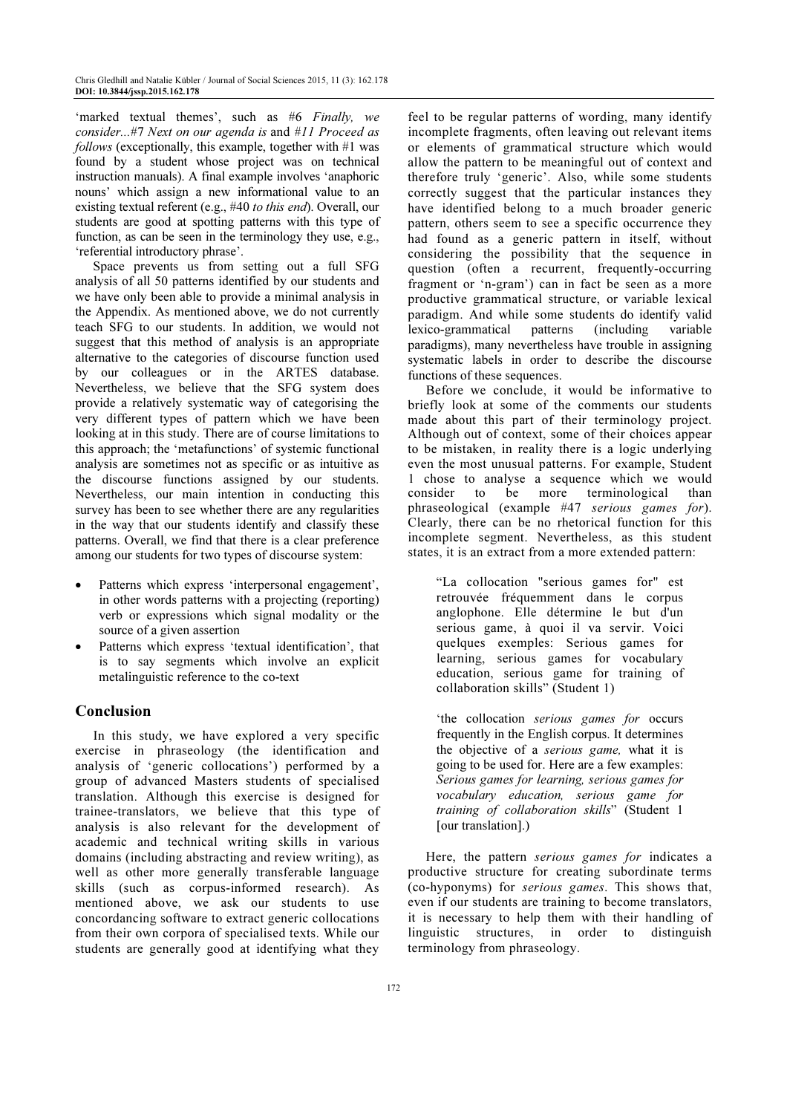'marked textual themes', such as #6 Finally, we consider...#7 Next on our agenda is and #11 Proceed as follows (exceptionally, this example, together with #1 was found by a student whose project was on technical instruction manuals). A final example involves 'anaphoric nouns' which assign a new informational value to an existing textual referent (e.g., #40 to this end). Overall, our students are good at spotting patterns with this type of function, as can be seen in the terminology they use, e.g., 'referential introductory phrase'.

Space prevents us from setting out a full SFG analysis of all 50 patterns identified by our students and we have only been able to provide a minimal analysis in the Appendix. As mentioned above, we do not currently teach SFG to our students. In addition, we would not suggest that this method of analysis is an appropriate alternative to the categories of discourse function used by our colleagues or in the ARTES database. Nevertheless, we believe that the SFG system does provide a relatively systematic way of categorising the very different types of pattern which we have been looking at in this study. There are of course limitations to this approach; the 'metafunctions' of systemic functional analysis are sometimes not as specific or as intuitive as the discourse functions assigned by our students. Nevertheless, our main intention in conducting this survey has been to see whether there are any regularities in the way that our students identify and classify these patterns. Overall, we find that there is a clear preference among our students for two types of discourse system:

- Patterns which express 'interpersonal engagement', in other words patterns with a projecting (reporting) verb or expressions which signal modality or the source of a given assertion
- Patterns which express 'textual identification', that is to say segments which involve an explicit metalinguistic reference to the co-text

## Conclusion

In this study, we have explored a very specific exercise in phraseology (the identification and analysis of 'generic collocations') performed by a group of advanced Masters students of specialised translation. Although this exercise is designed for trainee-translators, we believe that this type of analysis is also relevant for the development of academic and technical writing skills in various domains (including abstracting and review writing), as well as other more generally transferable language skills (such as corpus-informed research). As mentioned above, we ask our students to use concordancing software to extract generic collocations from their own corpora of specialised texts. While our students are generally good at identifying what they

feel to be regular patterns of wording, many identify incomplete fragments, often leaving out relevant items or elements of grammatical structure which would allow the pattern to be meaningful out of context and therefore truly 'generic'. Also, while some students correctly suggest that the particular instances they have identified belong to a much broader generic pattern, others seem to see a specific occurrence they had found as a generic pattern in itself, without considering the possibility that the sequence in question (often a recurrent, frequently-occurring fragment or 'n-gram') can in fact be seen as a more productive grammatical structure, or variable lexical paradigm. And while some students do identify valid lexico-grammatical patterns (including variable paradigms), many nevertheless have trouble in assigning systematic labels in order to describe the discourse functions of these sequences.

Before we conclude, it would be informative to briefly look at some of the comments our students made about this part of their terminology project. Although out of context, some of their choices appear to be mistaken, in reality there is a logic underlying even the most unusual patterns. For example, Student 1 chose to analyse a sequence which we would consider to be more terminological than phraseological (example #47 serious games for). Clearly, there can be no rhetorical function for this incomplete segment. Nevertheless, as this student states, it is an extract from a more extended pattern:

"La collocation "serious games for" est retrouvée fréquemment dans le corpus anglophone. Elle détermine le but d'un serious game, à quoi il va servir. Voici quelques exemples: Serious games for learning, serious games for vocabulary education, serious game for training of collaboration skills" (Student 1)

'the collocation serious games for occurs frequently in the English corpus. It determines the objective of a serious game, what it is going to be used for. Here are a few examples: Serious games for learning, serious games for vocabulary education, serious game for training of collaboration skills" (Student 1 [our translation].)

Here, the pattern *serious* games for indicates a productive structure for creating subordinate terms (co-hyponyms) for serious games. This shows that, even if our students are training to become translators, it is necessary to help them with their handling of linguistic structures, in order to distinguish terminology from phraseology.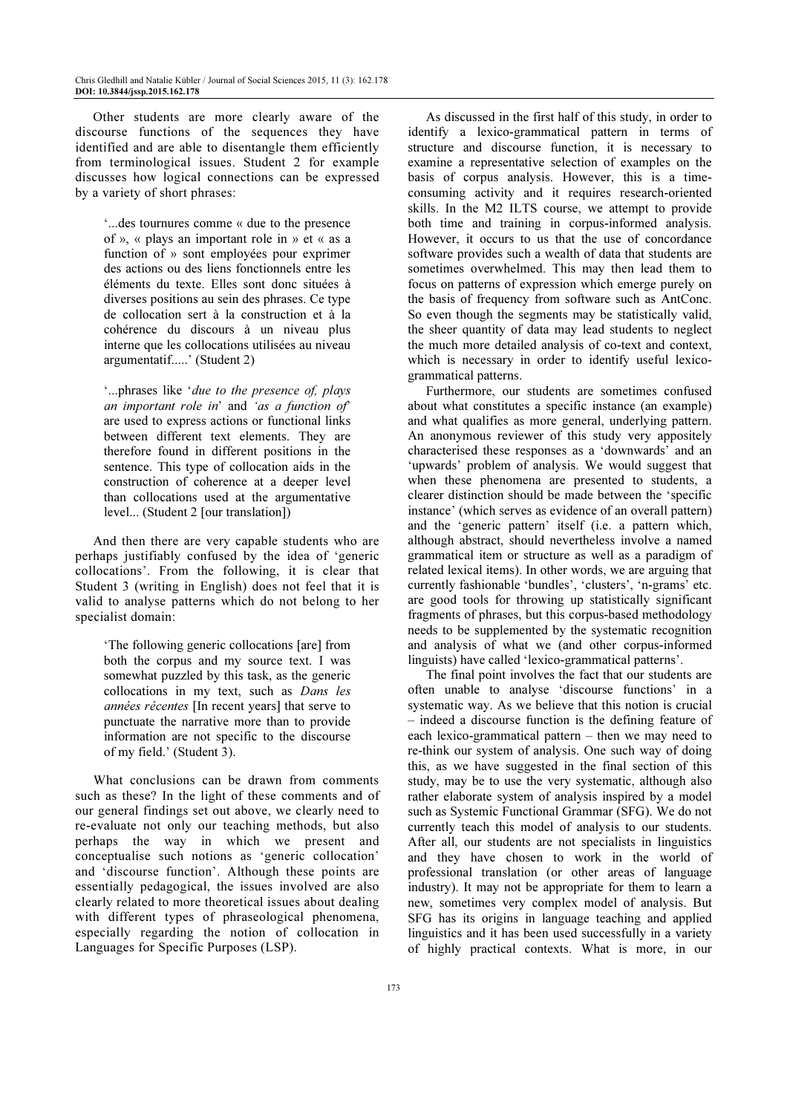Other students are more clearly aware of the discourse functions of the sequences they have identified and are able to disentangle them efficiently from terminological issues. Student 2 for example discusses how logical connections can be expressed by a variety of short phrases:

'...des tournures comme « due to the presence of », « plays an important role in » et « as a function of » sont employées pour exprimer des actions ou des liens fonctionnels entre les éléments du texte. Elles sont donc situées à diverses positions au sein des phrases. Ce type de collocation sert à la construction et à la cohérence du discours à un niveau plus interne que les collocations utilisées au niveau argumentatif.....' (Student 2)

'...phrases like 'due to the presence of, plays an important role in' and 'as a function of' are used to express actions or functional links between different text elements. They are therefore found in different positions in the sentence. This type of collocation aids in the construction of coherence at a deeper level than collocations used at the argumentative level... (Student 2 [our translation])

And then there are very capable students who are perhaps justifiably confused by the idea of 'generic collocations'. From the following, it is clear that Student 3 (writing in English) does not feel that it is valid to analyse patterns which do not belong to her specialist domain:

'The following generic collocations [are] from both the corpus and my source text. I was somewhat puzzled by this task, as the generic collocations in my text, such as Dans les années récentes [In recent years] that serve to punctuate the narrative more than to provide information are not specific to the discourse of my field.' (Student 3).

What conclusions can be drawn from comments such as these? In the light of these comments and of our general findings set out above, we clearly need to re-evaluate not only our teaching methods, but also perhaps the way in which we present and conceptualise such notions as 'generic collocation' and 'discourse function'. Although these points are essentially pedagogical, the issues involved are also clearly related to more theoretical issues about dealing with different types of phraseological phenomena, especially regarding the notion of collocation in Languages for Specific Purposes (LSP).

As discussed in the first half of this study, in order to identify a lexico-grammatical pattern in terms of structure and discourse function, it is necessary to examine a representative selection of examples on the basis of corpus analysis. However, this is a timeconsuming activity and it requires research-oriented skills. In the M2 ILTS course, we attempt to provide both time and training in corpus-informed analysis. However, it occurs to us that the use of concordance software provides such a wealth of data that students are sometimes overwhelmed. This may then lead them to focus on patterns of expression which emerge purely on the basis of frequency from software such as AntConc. So even though the segments may be statistically valid, the sheer quantity of data may lead students to neglect the much more detailed analysis of co-text and context, which is necessary in order to identify useful lexicogrammatical patterns.

Furthermore, our students are sometimes confused about what constitutes a specific instance (an example) and what qualifies as more general, underlying pattern. An anonymous reviewer of this study very appositely characterised these responses as a 'downwards' and an 'upwards' problem of analysis. We would suggest that when these phenomena are presented to students, a clearer distinction should be made between the 'specific instance' (which serves as evidence of an overall pattern) and the 'generic pattern' itself (i.e. a pattern which, although abstract, should nevertheless involve a named grammatical item or structure as well as a paradigm of related lexical items). In other words, we are arguing that currently fashionable 'bundles', 'clusters', 'n-grams' etc. are good tools for throwing up statistically significant fragments of phrases, but this corpus-based methodology needs to be supplemented by the systematic recognition and analysis of what we (and other corpus-informed linguists) have called 'lexico-grammatical patterns'.

The final point involves the fact that our students are often unable to analyse 'discourse functions' in a systematic way. As we believe that this notion is crucial – indeed a discourse function is the defining feature of each lexico-grammatical pattern – then we may need to re-think our system of analysis. One such way of doing this, as we have suggested in the final section of this study, may be to use the very systematic, although also rather elaborate system of analysis inspired by a model such as Systemic Functional Grammar (SFG). We do not currently teach this model of analysis to our students. After all, our students are not specialists in linguistics and they have chosen to work in the world of professional translation (or other areas of language industry). It may not be appropriate for them to learn a new, sometimes very complex model of analysis. But SFG has its origins in language teaching and applied linguistics and it has been used successfully in a variety of highly practical contexts. What is more, in our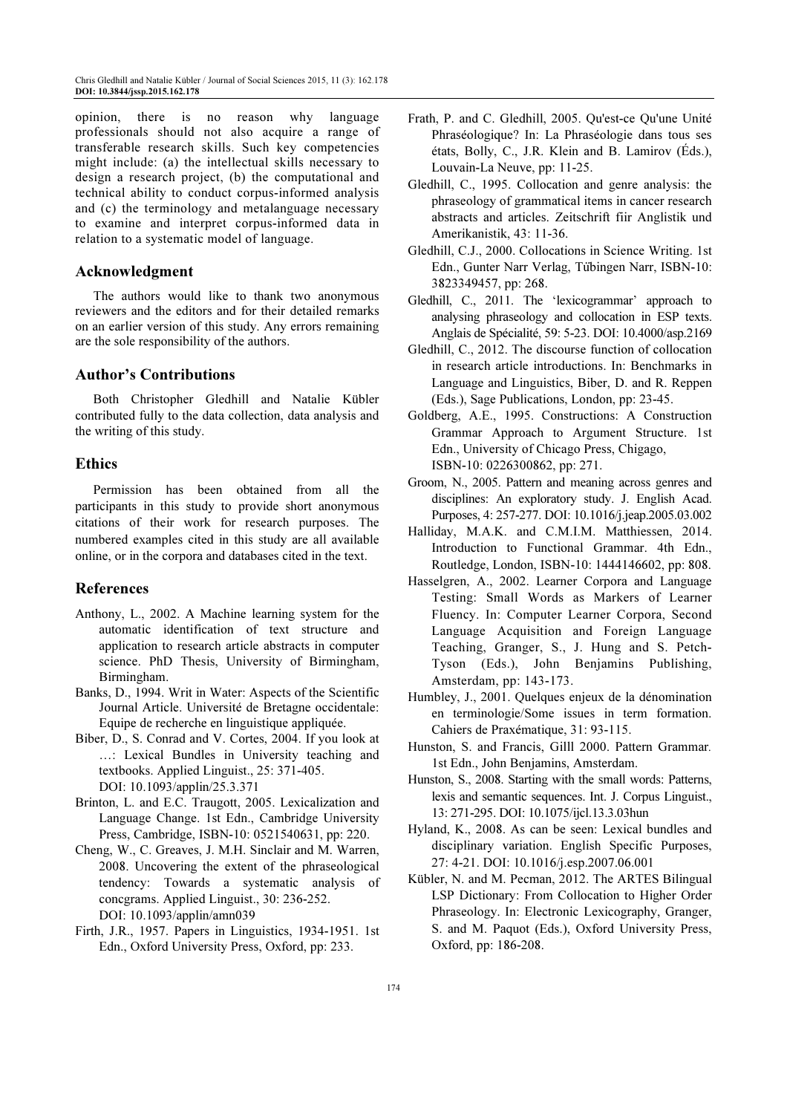opinion, there is no reason why language professionals should not also acquire a range of transferable research skills. Such key competencies might include: (a) the intellectual skills necessary to design a research project, (b) the computational and technical ability to conduct corpus-informed analysis and (c) the terminology and metalanguage necessary to examine and interpret corpus-informed data in relation to a systematic model of language.

## Acknowledgment

The authors would like to thank two anonymous reviewers and the editors and for their detailed remarks on an earlier version of this study. Any errors remaining are the sole responsibility of the authors.

### Author's Contributions

Both Christopher Gledhill and Natalie Kübler contributed fully to the data collection, data analysis and the writing of this study.

#### Ethics

Permission has been obtained from all the participants in this study to provide short anonymous citations of their work for research purposes. The numbered examples cited in this study are all available online, or in the corpora and databases cited in the text.

## References

- Anthony, L., 2002. A Machine learning system for the automatic identification of text structure and application to research article abstracts in computer science. PhD Thesis, University of Birmingham, Birmingham.
- Banks, D., 1994. Writ in Water: Aspects of the Scientific Journal Article. Université de Bretagne occidentale: Equipe de recherche en linguistique appliquée.
- Biber, D., S. Conrad and V. Cortes, 2004. If you look at …: Lexical Bundles in University teaching and textbooks. Applied Linguist., 25: 371-405. DOI: 10.1093/applin/25.3.371
- Brinton, L. and E.C. Traugott, 2005. Lexicalization and Language Change. 1st Edn., Cambridge University Press, Cambridge, ISBN-10: 0521540631, pp: 220.
- Cheng, W., C. Greaves, J. M.H. Sinclair and M. Warren, 2008. Uncovering the extent of the phraseological tendency: Towards a systematic analysis of concgrams. Applied Linguist., 30: 236-252. DOI: 10.1093/applin/amn039
- Firth, J.R., 1957. Papers in Linguistics, 1934-1951. 1st Edn., Oxford University Press, Oxford, pp: 233.
- Frath, P. and C. Gledhill, 2005. Qu'est-ce Qu'une Unité Phraséologique? In: La Phraséologie dans tous ses états, Bolly, C., J.R. Klein and B. Lamirov (Éds.), Louvain-La Neuve, pp: 11-25.
- Gledhill, C., 1995. Collocation and genre analysis: the phraseology of grammatical items in cancer research abstracts and articles. Zeitschrift fiir Anglistik und Amerikanistik, 43: 11-36.
- Gledhill, C.J., 2000. Collocations in Science Writing. 1st Edn., Gunter Narr Verlag, Tübingen Narr, ISBN-10: 3823349457, pp: 268.
- Gledhill, C., 2011. The 'lexicogrammar' approach to analysing phraseology and collocation in ESP texts. Anglais de Spécialité, 59: 5-23. DOI: 10.4000/asp.2169
- Gledhill, C., 2012. The discourse function of collocation in research article introductions. In: Benchmarks in Language and Linguistics, Biber, D. and R. Reppen (Eds.), Sage Publications, London, pp: 23-45.
- Goldberg, A.E., 1995. Constructions: A Construction Grammar Approach to Argument Structure. 1st Edn., University of Chicago Press, Chigago, ISBN-10: 0226300862, pp: 271.
- Groom, N., 2005. Pattern and meaning across genres and disciplines: An exploratory study. J. English Acad. Purposes, 4: 257-277. DOI: 10.1016/j.jeap.2005.03.002
- Halliday, M.A.K. and C.M.I.M. Matthiessen, 2014. Introduction to Functional Grammar. 4th Edn., Routledge, London, ISBN-10: 1444146602, pp: 808.
- Hasselgren, A., 2002. Learner Corpora and Language Testing: Small Words as Markers of Learner Fluency. In: Computer Learner Corpora, Second Language Acquisition and Foreign Language Teaching, Granger, S., J. Hung and S. Petch-Tyson (Eds.), John Benjamins Publishing, Amsterdam, pp: 143-173.
- Humbley, J., 2001. Quelques enjeux de la dénomination en terminologie/Some issues in term formation. Cahiers de Praxématique, 31: 93-115.
- Hunston, S. and Francis, Gilll 2000. Pattern Grammar. 1st Edn., John Benjamins, Amsterdam.
- Hunston, S., 2008. Starting with the small words: Patterns, lexis and semantic sequences. Int. J. Corpus Linguist., 13: 271-295. DOI: 10.1075/ijcl.13.3.03hun
- Hyland, K., 2008. As can be seen: Lexical bundles and disciplinary variation. English Specific Purposes, 27: 4-21. DOI: 10.1016/j.esp.2007.06.001
- Kübler, N. and M. Pecman, 2012. The ARTES Bilingual LSP Dictionary: From Collocation to Higher Order Phraseology. In: Electronic Lexicography, Granger, S. and M. Paquot (Eds.), Oxford University Press, Oxford, pp: 186-208.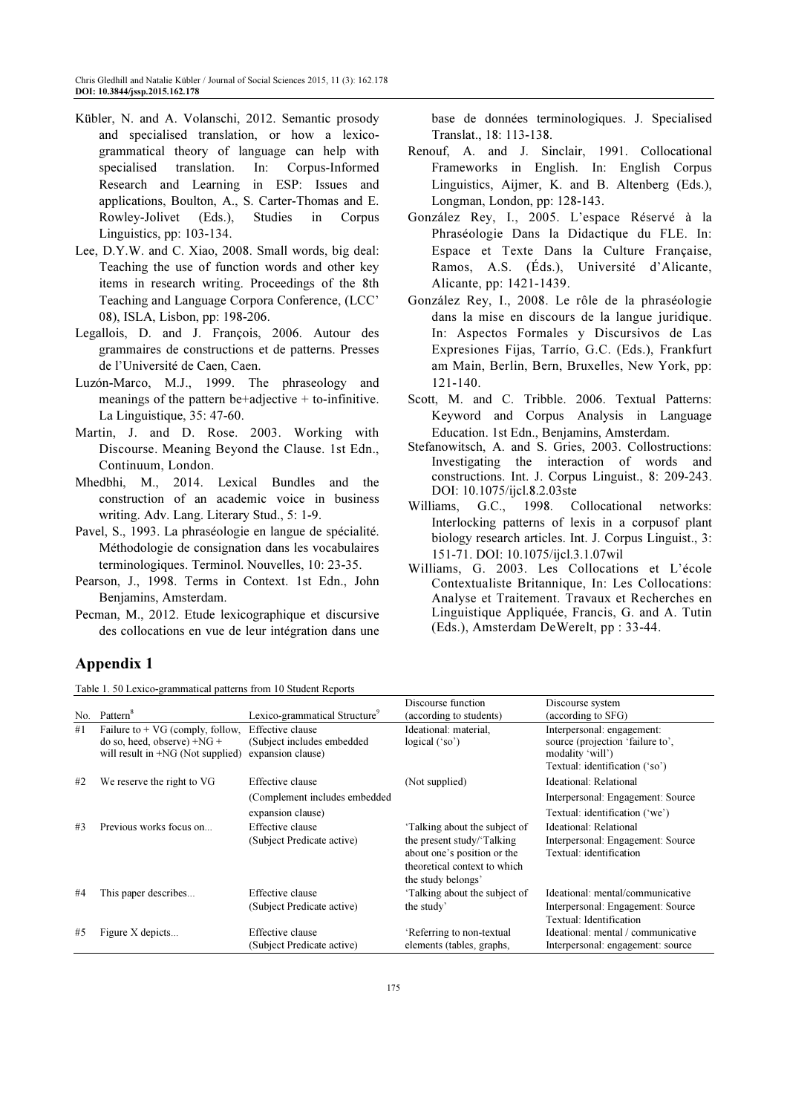- Kübler, N. and A. Volanschi, 2012. Semantic prosody and specialised translation, or how a lexicogrammatical theory of language can help with specialised translation. In: Corpus-Informed Research and Learning in ESP: Issues and applications, Boulton, A., S. Carter-Thomas and E. Rowley-Jolivet (Eds.), Studies in Corpus Linguistics, pp: 103-134.
- Lee, D.Y.W. and C. Xiao, 2008. Small words, big deal: Teaching the use of function words and other key items in research writing. Proceedings of the 8th Teaching and Language Corpora Conference, (LCC' 08), ISLA, Lisbon, pp: 198-206.
- Legallois, D. and J. François, 2006. Autour des grammaires de constructions et de patterns. Presses de l'Université de Caen, Caen.
- Luzón-Marco, M.J., 1999. The phraseology and meanings of the pattern be+adjective  $+$  to-infinitive. La Linguistique, 35: 47-60.
- Martin, J. and D. Rose. 2003. Working with Discourse. Meaning Beyond the Clause. 1st Edn., Continuum, London.
- Mhedbhi, M., 2014. Lexical Bundles and the construction of an academic voice in business writing. Adv. Lang. Literary Stud., 5: 1-9.
- Pavel, S., 1993. La phraséologie en langue de spécialité. Méthodologie de consignation dans les vocabulaires terminologiques. Terminol. Nouvelles, 10: 23-35.
- Pearson, J., 1998. Terms in Context. 1st Edn., John Benjamins, Amsterdam.
- Pecman, M., 2012. Etude lexicographique et discursive des collocations en vue de leur intégration dans une

base de données terminologiques. J. Specialised Translat., 18: 113-138.

- Renouf, A. and J. Sinclair, 1991. Collocational Frameworks in English. In: English Corpus Linguistics, Aijmer, K. and B. Altenberg (Eds.), Longman, London, pp: 128-143.
- González Rey, I., 2005. L'espace Réservé à la Phraséologie Dans la Didactique du FLE. In: Espace et Texte Dans la Culture Française, Ramos, A.S. (Éds.), Université d'Alicante, Alicante, pp: 1421-1439.
- González Rey, I., 2008. Le rôle de la phraséologie dans la mise en discours de la langue juridique. In: Aspectos Formales y Discursivos de Las Expresiones Fijas, Tarrío, G.C. (Eds.), Frankfurt am Main, Berlin, Bern, Bruxelles, New York, pp: 121-140.
- Scott, M. and C. Tribble. 2006. Textual Patterns: Keyword and Corpus Analysis in Language Education. 1st Edn., Benjamins, Amsterdam.
- Stefanowitsch, A. and S. Gries, 2003. Collostructions: Investigating the interaction of words and constructions. Int. J. Corpus Linguist., 8: 209-243. DOI: 10.1075/ijcl.8.2.03ste
- Williams, G.C., 1998. Collocational networks: Interlocking patterns of lexis in a corpusof plant biology research articles. Int. J. Corpus Linguist., 3: 151-71. DOI: 10.1075/ijcl.3.1.07wil
- Williams, G. 2003. Les Collocations et L'école Contextualiste Britannique, In: Les Collocations: Analyse et Traitement. Travaux et Recherches en Linguistique Appliquée, Francis, G. and A. Tutin (Eds.), Amsterdam DeWerelt, pp : 33-44.

# Appendix 1

Table 1. 50 Lexico-grammatical patterns from 10 Student Reports

| No. | Pattern <sup>8</sup>                                                                                       | Lexico-grammatical Structure <sup>9</sup>                            | Discourse function<br>(according to students)                                                                                                   | Discourse system<br>(according to SFG)                                                                               |
|-----|------------------------------------------------------------------------------------------------------------|----------------------------------------------------------------------|-------------------------------------------------------------------------------------------------------------------------------------------------|----------------------------------------------------------------------------------------------------------------------|
| #1  | Failure to $+$ VG (comply, follow,<br>do so, heed, observe) $+NG +$<br>will result in $+NG$ (Not supplied) | Effective clause<br>(Subject includes embedded)<br>expansion clause) | Ideational: material,<br>logical $({\rm so})$                                                                                                   | Interpersonal: engagement:<br>source (projection 'failure to',<br>modality 'will')<br>Textual: identification ('so') |
| #2  | We reserve the right to VG                                                                                 | Effective clause                                                     | (Not supplied)                                                                                                                                  | <b>Ideational: Relational</b>                                                                                        |
|     |                                                                                                            | (Complement includes embedded                                        |                                                                                                                                                 | Interpersonal: Engagement: Source                                                                                    |
|     |                                                                                                            | expansion clause)                                                    |                                                                                                                                                 | Textual: identification ('we')                                                                                       |
| #3  | Previous works focus on                                                                                    | Effective clause<br>(Subject Predicate active)                       | Talking about the subject of<br>the present study/'Talking<br>about one's position or the<br>theoretical context to which<br>the study belongs' | <b>Ideational: Relational</b><br>Interpersonal: Engagement: Source<br>Textual: identification                        |
| #4  | This paper describes                                                                                       | Effective clause<br>(Subject Predicate active)                       | Talking about the subject of<br>the study'                                                                                                      | Ideational: mental/communicative<br>Interpersonal: Engagement: Source<br>Textual: Identification                     |
| #5  | Figure X depicts                                                                                           | Effective clause<br>(Subject Predicate active)                       | Referring to non-textual<br>elements (tables, graphs,                                                                                           | Ideational: mental / communicative<br>Interpersonal: engagement: source                                              |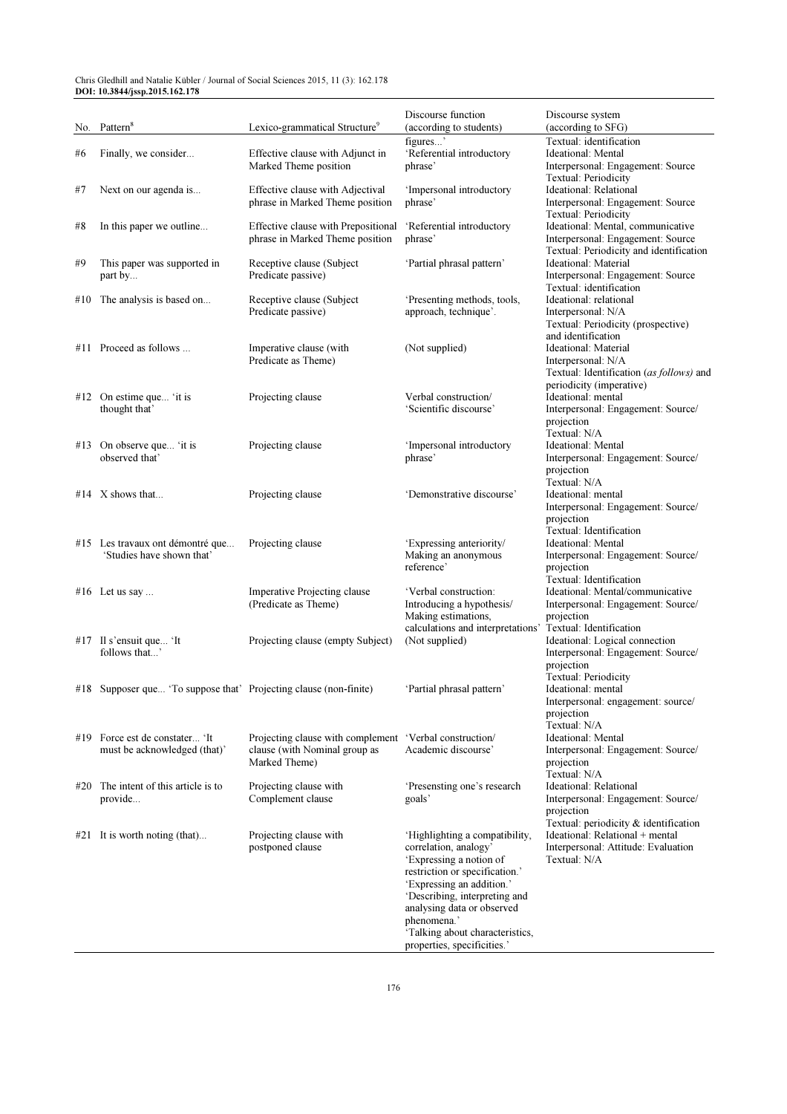|     | No. Pattern <sup>8</sup>                                          | Lexico-grammatical Structure <sup>9</sup>                                                                 | Discourse function<br>(according to students)                                                                                                                                                                                                                                                     | Discourse system<br>(according to SFG)                                                                                                    |
|-----|-------------------------------------------------------------------|-----------------------------------------------------------------------------------------------------------|---------------------------------------------------------------------------------------------------------------------------------------------------------------------------------------------------------------------------------------------------------------------------------------------------|-------------------------------------------------------------------------------------------------------------------------------------------|
| #6  | Finally, we consider                                              | Effective clause with Adjunct in<br>Marked Theme position                                                 | figures'<br>'Referential introductory<br>phrase'                                                                                                                                                                                                                                                  | Textual: identification<br>Ideational: Mental<br>Interpersonal: Engagement: Source                                                        |
| #7  | Next on our agenda is                                             | Effective clause with Adjectival<br>phrase in Marked Theme position                                       | 'Impersonal introductory<br>phrase'                                                                                                                                                                                                                                                               | Textual: Periodicity<br>Ideational: Relational<br>Interpersonal: Engagement: Source                                                       |
| #8  | In this paper we outline                                          | Effective clause with Prepositional<br>phrase in Marked Theme position                                    | 'Referential introductory<br>phrase'                                                                                                                                                                                                                                                              | Textual: Periodicity<br>Ideational: Mental, communicative<br>Interpersonal: Engagement: Source<br>Textual: Periodicity and identification |
| #9  | This paper was supported in<br>part by                            | Receptive clause (Subject<br>Predicate passive)                                                           | 'Partial phrasal pattern'                                                                                                                                                                                                                                                                         | Ideational: Material<br>Interpersonal: Engagement: Source<br>Textual: identification                                                      |
| #10 | The analysis is based on                                          | Receptive clause (Subject<br>Predicate passive)                                                           | 'Presenting methods, tools,<br>approach, technique'.                                                                                                                                                                                                                                              | Ideational: relational<br>Interpersonal: N/A<br>Textual: Periodicity (prospective)                                                        |
|     | $#11$ Proceed as follows                                          | Imperative clause (with<br>Predicate as Theme)                                                            | (Not supplied)                                                                                                                                                                                                                                                                                    | and identification<br>Ideational: Material<br>Interpersonal: N/A<br>Textual: Identification (as follows) and<br>periodicity (imperative)  |
|     | #12 On estime que $\cdot$ it is<br>thought that'                  | Projecting clause                                                                                         | Verbal construction/<br>'Scientific discourse'                                                                                                                                                                                                                                                    | Ideational: mental<br>Interpersonal: Engagement: Source/<br>projection<br>Textual: N/A                                                    |
|     | $#13$ On observe que 'it is<br>observed that'                     | Projecting clause                                                                                         | 'Impersonal introductory<br>phrase'                                                                                                                                                                                                                                                               | Ideational: Mental<br>Interpersonal: Engagement: Source/<br>projection<br>Textual: N/A                                                    |
|     | $#14$ X shows that                                                | Projecting clause                                                                                         | 'Demonstrative discourse'                                                                                                                                                                                                                                                                         | Ideational: mental<br>Interpersonal: Engagement: Source/<br>projection                                                                    |
|     | #15 Les travaux ont démontré que<br>'Studies have shown that'     | Projecting clause                                                                                         | 'Expressing anteriority/<br>Making an anonymous<br>reference'                                                                                                                                                                                                                                     | Textual: Identification<br>Ideational: Mental<br>Interpersonal: Engagement: Source/<br>projection<br>Textual: Identification              |
|     | #16 Let us say                                                    | Imperative Projecting clause<br>(Predicate as Theme)                                                      | 'Verbal construction:<br>Introducing a hypothesis/<br>Making estimations,<br>calculations and interpretations' Textual: Identification                                                                                                                                                            | Ideational: Mental/communicative<br>Interpersonal: Engagement: Source/<br>projection                                                      |
|     | $#17$ Il s'ensuit que 'It<br>follows that'                        | Projecting clause (empty Subject)                                                                         | (Not supplied)                                                                                                                                                                                                                                                                                    | Ideational: Logical connection<br>Interpersonal: Engagement: Source/<br>projection                                                        |
|     | #18 Supposer que 'To suppose that' Projecting clause (non-finite) |                                                                                                           | 'Partial phrasal pattern'                                                                                                                                                                                                                                                                         | Textual: Periodicity<br>Ideational: mental<br>Interpersonal: engagement: source/<br>projection                                            |
|     | #19 Force est de constater 'It<br>must be acknowledged (that)'    | Projecting clause with complement 'Verbal construction'<br>clause (with Nominal group as<br>Marked Theme) | Academic discourse'                                                                                                                                                                                                                                                                               | Textual: N/A<br>Ideational: Mental<br>Interpersonal: Engagement: Source/<br>projection<br>Textual: N/A                                    |
|     | $#20$ The intent of this article is to<br>provide                 | Projecting clause with<br>Complement clause                                                               | 'Presensting one's research<br>goals'                                                                                                                                                                                                                                                             | Ideational: Relational<br>Interpersonal: Engagement: Source/<br>projection                                                                |
|     | $#21$ It is worth noting (that)                                   | Projecting clause with<br>postponed clause                                                                | 'Highlighting a compatibility,<br>correlation, analogy'<br>'Expressing a notion of<br>restriction or specification.'<br>'Expressing an addition.'<br>'Describing, interpreting and<br>analysing data or observed<br>phenomena.'<br>'Talking about characteristics,<br>properties, specificities.' | Textual: periodicity & identification<br>Ideational: Relational + mental<br>Interpersonal: Attitude: Evaluation<br>Textual: N/A           |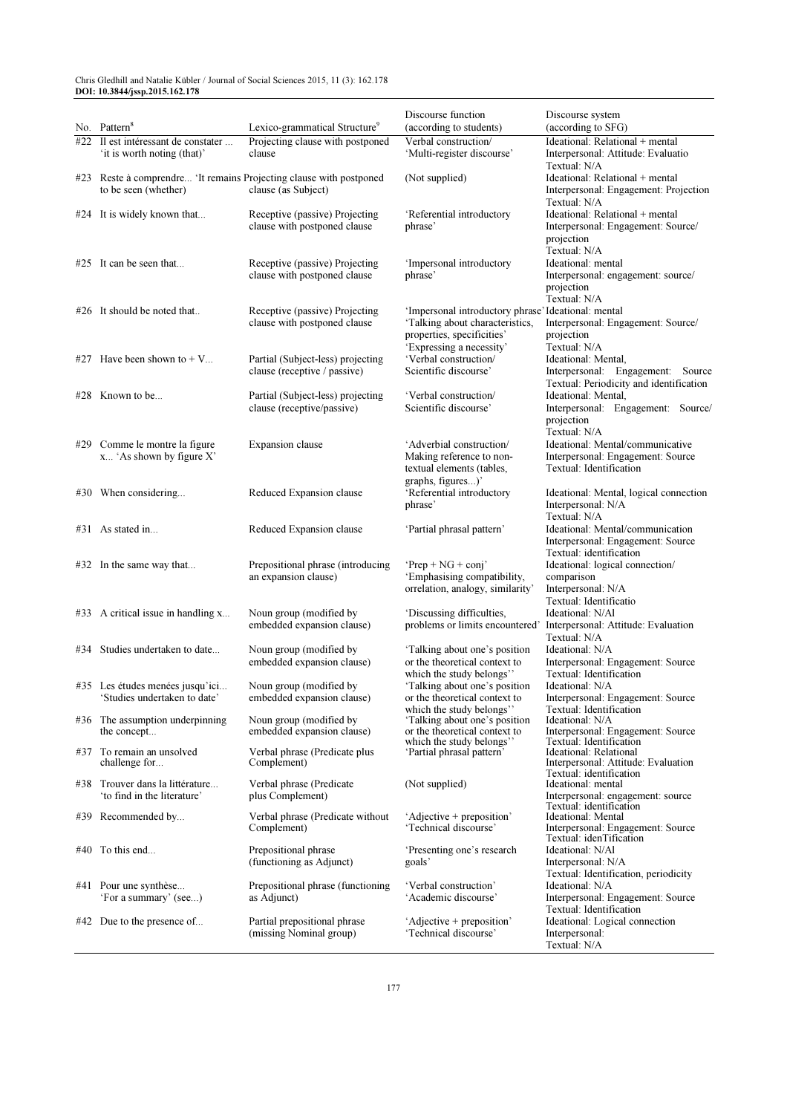| No. Pattern <sup>8</sup>                                                                    | Lexico-grammatical Structure <sup>9</sup>                                        | Discourse function<br>(according to students)                                                                                                    | Discourse system<br>(according to SFG)                                                                                |
|---------------------------------------------------------------------------------------------|----------------------------------------------------------------------------------|--------------------------------------------------------------------------------------------------------------------------------------------------|-----------------------------------------------------------------------------------------------------------------------|
| $#22$ Il est intéressant de constater<br>'it is worth noting (that)'                        | Projecting clause with postponed<br>clause                                       | Verbal construction/<br>'Multi-register discourse'                                                                                               | Ideational: Relational + mental<br>Interpersonal: Attitude: Evaluatio<br>Textual: N/A                                 |
| #23 Reste à comprendre 'It remains Projecting clause with postponed<br>to be seen (whether) | clause (as Subject)                                                              | (Not supplied)                                                                                                                                   | Ideational: Relational + mental<br>Interpersonal: Engagement: Projection<br>Textual: N/A                              |
| #24 It is widely known that                                                                 | Receptive (passive) Projecting<br>clause with postponed clause                   | 'Referential introductory<br>phrase'                                                                                                             | Ideational: Relational + mental<br>Interpersonal: Engagement: Source/<br>projection<br>Textual: N/A                   |
| $#25$ It can be seen that                                                                   | Receptive (passive) Projecting<br>clause with postponed clause                   | 'Impersonal introductory<br>phrase'                                                                                                              | Ideational: mental<br>Interpersonal: engagement: source/<br>projection<br>Textual: N/A                                |
| $#26$ It should be noted that                                                               | Receptive (passive) Projecting<br>clause with postponed clause                   | 'Impersonal introductory phrase' Ideational: mental<br>'Talking about characteristics,<br>properties, specificities'<br>'Expressing a necessity' | Interpersonal: Engagement: Source/<br>projection<br>Textual: N/A                                                      |
| #27 Have been shown to $+$ V                                                                | Partial (Subject-less) projecting<br>clause (receptive / passive)                | 'Verbal construction/<br>Scientific discourse'                                                                                                   | Ideational: Mental.<br>Interpersonal: Engagement: Source<br>Textual: Periodicity and identification                   |
| $#28$ Known to be                                                                           | Partial (Subject-less) projecting<br>clause (receptive/passive)                  | 'Verbal construction/<br>Scientific discourse'                                                                                                   | Ideational: Mental,<br>Interpersonal: Engagement: Source/<br>projection<br>Textual: N/A                               |
| #29 Comme le montre la figure<br>x 'As shown by figure X'                                   | Expansion clause                                                                 | 'Adverbial construction/<br>Making reference to non-<br>textual elements (tables,<br>graphs, figures)'                                           | Ideational: Mental/communicative<br>Interpersonal: Engagement: Source<br>Textual: Identification                      |
| #30 When considering                                                                        | Reduced Expansion clause                                                         | 'Referential introductory<br>phrase'                                                                                                             | Ideational: Mental, logical connection<br>Interpersonal: N/A<br>Textual: N/A                                          |
| $#31$ As stated in                                                                          | Reduced Expansion clause                                                         | 'Partial phrasal pattern'                                                                                                                        | Ideational: Mental/communication<br>Interpersonal: Engagement: Source<br>Textual: identification                      |
| #32 In the same way that                                                                    | Prepositional phrase (introducing<br>an expansion clause)                        | $'Prep + NG + conj'$<br>'Emphasising compatibility,<br>orrelation, analogy, similarity'                                                          | Ideational: logical connection/<br>comparison<br>Interpersonal: N/A<br>Textual: Identificatio                         |
| #33 A critical issue in handling x                                                          | Noun group (modified by<br>embedded expansion clause)                            | 'Discussing difficulties,                                                                                                                        | Ideational: N/Al<br>problems or limits encountered' Interpersonal: Attitude: Evaluation<br>Textual: N/A               |
| #34 Studies undertaken to date                                                              | Noun group (modified by<br>embedded expansion clause)                            | 'Talking about one's position<br>or the theoretical context to<br>which the study belongs"                                                       | Ideational: N/A<br>Interpersonal: Engagement: Source<br>Textual: Identification                                       |
| #35 Les études menées jusqu'ici<br>'Studies undertaken to date'                             | Noun group (modified by<br>embedded expansion clause)                            | 'Talking about one's position<br>or the theoretical context to<br>which the study belongs"                                                       | Ideational: N/A<br>Interpersonal: Engagement: Source<br>Textual: Identification                                       |
| #36 The assumption underpinning<br>the concept                                              | Noun group (modified by<br>embedded expansion clause)                            | 'Talking about one's position<br>or the theoretical context to<br>which the study belongs"                                                       | Ideational: N/A<br>Interpersonal: Engagement: Source<br>Textual: Identification                                       |
| #37 To remain an unsolved<br>challenge for<br>#38 Trouver dans la littérature               | Verbal phrase (Predicate plus<br>Complement)                                     | 'Partial phrasal pattern'                                                                                                                        | <b>Ideational: Relational</b><br>Interpersonal: Attitude: Evaluation<br>Textual: identification<br>Ideational: mental |
| 'to find in the literature'<br>#39 Recommended by                                           | Verbal phrase (Predicate<br>plus Complement)<br>Verbal phrase (Predicate without | (Not supplied)<br>'Adjective + preposition'                                                                                                      | Interpersonal: engagement: source<br>Textual: identification<br>Ideational: Mental                                    |
| $#40$ To this end                                                                           | Complement)                                                                      | 'Technical discourse'                                                                                                                            | Interpersonal: Engagement: Source<br>Textual: idenTification<br>Ideational: N/Al                                      |
|                                                                                             | Prepositional phrase<br>(functioning as Adjunct)                                 | 'Presenting one's research<br>goals'                                                                                                             | Interpersonal: N/A<br>Textual: Identification, periodicity                                                            |
| #41 Pour une synthèse<br>'For a summary' (see)                                              | Prepositional phrase (functioning)<br>as Adjunct)                                | 'Verbal construction'<br>'Academic discourse'                                                                                                    | Ideational: N/A<br>Interpersonal: Engagement: Source<br>Textual: Identification                                       |
| #42 Due to the presence of                                                                  | Partial prepositional phrase<br>(missing Nominal group)                          | 'Adjective + preposition'<br>'Technical discourse'                                                                                               | Ideational: Logical connection<br>Interpersonal:<br>Textual: N/A                                                      |